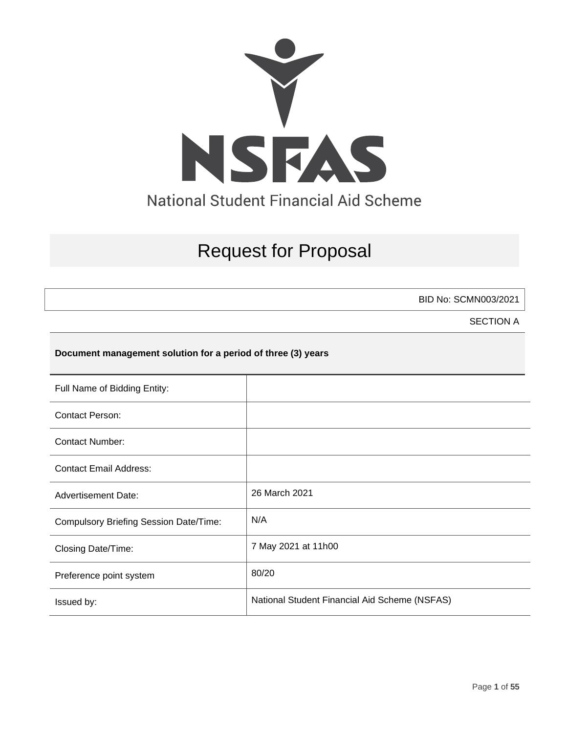

# Request for Proposal

BID No: SCMN003/2021

SECTION A

### **Document management solution for a period of three (3) years**

| Full Name of Bidding Entity:                  |                                               |
|-----------------------------------------------|-----------------------------------------------|
| <b>Contact Person:</b>                        |                                               |
| <b>Contact Number:</b>                        |                                               |
| <b>Contact Email Address:</b>                 |                                               |
| <b>Advertisement Date:</b>                    | 26 March 2021                                 |
| <b>Compulsory Briefing Session Date/Time:</b> | N/A                                           |
| Closing Date/Time:                            | 7 May 2021 at 11h00                           |
| Preference point system                       | 80/20                                         |
| Issued by:                                    | National Student Financial Aid Scheme (NSFAS) |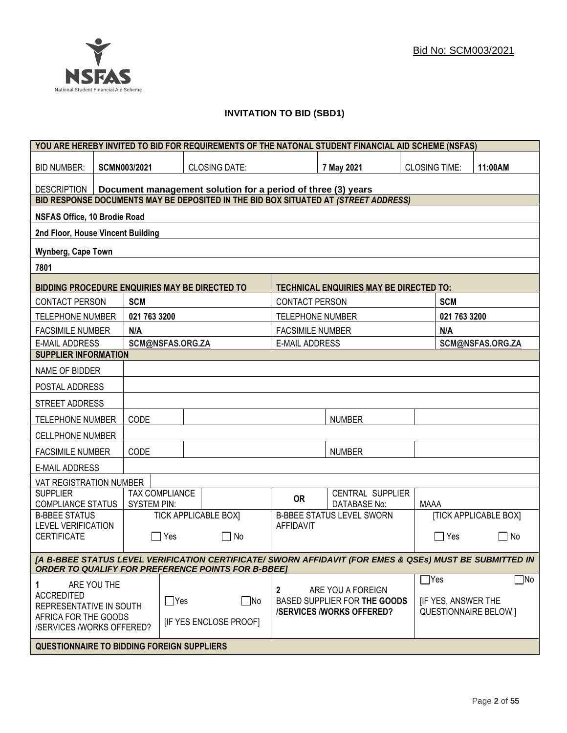### **INVITATION TO BID (SBD1)**

|                                                                                                                                                                      | YOU ARE HEREBY INVITED TO BID FOR REQUIREMENTS OF THE NATONAL STUDENT FINANCIAL AID SCHEME (NSFAS) |                     |                  |                                                                                     |                         |                                                                                      |                      |                           |                              |
|----------------------------------------------------------------------------------------------------------------------------------------------------------------------|----------------------------------------------------------------------------------------------------|---------------------|------------------|-------------------------------------------------------------------------------------|-------------------------|--------------------------------------------------------------------------------------|----------------------|---------------------------|------------------------------|
| <b>BID NUMBER:</b>                                                                                                                                                   |                                                                                                    | <b>SCMN003/2021</b> |                  | <b>CLOSING DATE:</b>                                                                |                         | 7 May 2021                                                                           | <b>CLOSING TIME:</b> |                           | 11:00AM                      |
| <b>DESCRIPTION</b><br>Document management solution for a period of three (3) years                                                                                   |                                                                                                    |                     |                  |                                                                                     |                         |                                                                                      |                      |                           |                              |
|                                                                                                                                                                      |                                                                                                    |                     |                  | BID RESPONSE DOCUMENTS MAY BE DEPOSITED IN THE BID BOX SITUATED AT (STREET ADDRESS) |                         |                                                                                      |                      |                           |                              |
| <b>NSFAS Office, 10 Brodie Road</b>                                                                                                                                  |                                                                                                    |                     |                  |                                                                                     |                         |                                                                                      |                      |                           |                              |
| 2nd Floor, House Vincent Building                                                                                                                                    |                                                                                                    |                     |                  |                                                                                     |                         |                                                                                      |                      |                           |                              |
| <b>Wynberg, Cape Town</b>                                                                                                                                            |                                                                                                    |                     |                  |                                                                                     |                         |                                                                                      |                      |                           |                              |
| 7801                                                                                                                                                                 |                                                                                                    |                     |                  |                                                                                     |                         |                                                                                      |                      |                           |                              |
| BIDDING PROCEDURE ENQUIRIES MAY BE DIRECTED TO                                                                                                                       |                                                                                                    |                     |                  |                                                                                     |                         | <b>TECHNICAL ENQUIRIES MAY BE DIRECTED TO:</b>                                       |                      |                           |                              |
| <b>CONTACT PERSON</b>                                                                                                                                                |                                                                                                    | <b>SCM</b>          |                  |                                                                                     | <b>CONTACT PERSON</b>   |                                                                                      |                      | <b>SCM</b>                |                              |
| <b>TELEPHONE NUMBER</b>                                                                                                                                              |                                                                                                    | 021 763 3200        |                  |                                                                                     | <b>TELEPHONE NUMBER</b> |                                                                                      |                      | 021 763 3200              |                              |
| <b>FACSIMILE NUMBER</b>                                                                                                                                              |                                                                                                    | N/A                 |                  |                                                                                     | <b>FACSIMILE NUMBER</b> |                                                                                      |                      | N/A                       |                              |
| <b>E-MAIL ADDRESS</b>                                                                                                                                                |                                                                                                    |                     | SCM@NSFAS.ORG.ZA |                                                                                     | <b>E-MAIL ADDRESS</b>   |                                                                                      |                      |                           | SCM@NSFAS.ORG.ZA             |
| <b>SUPPLIER INFORMATION</b>                                                                                                                                          |                                                                                                    |                     |                  |                                                                                     |                         |                                                                                      |                      |                           |                              |
| NAME OF BIDDER                                                                                                                                                       |                                                                                                    |                     |                  |                                                                                     |                         |                                                                                      |                      |                           |                              |
| POSTAL ADDRESS                                                                                                                                                       |                                                                                                    |                     |                  |                                                                                     |                         |                                                                                      |                      |                           |                              |
| STREET ADDRESS                                                                                                                                                       |                                                                                                    |                     |                  |                                                                                     |                         |                                                                                      |                      |                           |                              |
| <b>TELEPHONE NUMBER</b>                                                                                                                                              | CODE<br><b>NUMBER</b>                                                                              |                     |                  |                                                                                     |                         |                                                                                      |                      |                           |                              |
| <b>CELLPHONE NUMBER</b>                                                                                                                                              |                                                                                                    |                     |                  |                                                                                     |                         |                                                                                      |                      |                           |                              |
| <b>FACSIMILE NUMBER</b>                                                                                                                                              |                                                                                                    | CODE                |                  |                                                                                     |                         | <b>NUMBER</b>                                                                        |                      |                           |                              |
| <b>E-MAIL ADDRESS</b>                                                                                                                                                |                                                                                                    |                     |                  |                                                                                     |                         |                                                                                      |                      |                           |                              |
| VAT REGISTRATION NUMBER                                                                                                                                              |                                                                                                    |                     |                  |                                                                                     |                         |                                                                                      |                      |                           |                              |
| <b>SUPPLIER</b><br><b>COMPLIANCE STATUS</b>                                                                                                                          |                                                                                                    | <b>SYSTEM PIN:</b>  | TAX COMPLIANCE   |                                                                                     | <b>OR</b>               | CENTRAL SUPPLIER<br><b>DATABASE No:</b>                                              | <b>MAAA</b>          |                           |                              |
| <b>B-BBEE STATUS</b>                                                                                                                                                 |                                                                                                    |                     |                  | <b>TICK APPLICABLE BOXI</b>                                                         |                         | <b>B-BBEE STATUS LEVEL SWORN</b>                                                     |                      |                           | <b>[TICK APPLICABLE BOX]</b> |
| <b>LEVEL VERIFICATION</b><br><b>CERTIFICATE</b>                                                                                                                      |                                                                                                    |                     | Yes              | $\Box$ No                                                                           | <b>AFFIDAVIT</b>        |                                                                                      |                      | $\Box$ Yes                | $\mathsf{L}$<br>No           |
| [A B-BBEE STATUS LEVEL VERIFICATION CERTIFICATE/ SWORN AFFIDAVIT (FOR EMES & QSEs) MUST BE SUBMITTED IN<br><b>ORDER TO QUALIFY FOR PREFERENCE POINTS FOR B-BBEET</b> |                                                                                                    |                     |                  |                                                                                     |                         |                                                                                      |                      |                           |                              |
|                                                                                                                                                                      |                                                                                                    |                     |                  |                                                                                     |                         |                                                                                      | $\Box$ Yes           |                           | $\Box$ No                    |
| 1<br><b>ACCREDITED</b><br>REPRESENTATIVE IN SOUTH                                                                                                                    | ARE YOU THE                                                                                        |                     | $\Box$ Yes       | $\Box$ No                                                                           | 2                       | ARE YOU A FOREIGN<br>BASED SUPPLIER FOR THE GOODS<br><b>/SERVICES/WORKS OFFERED?</b> |                      | <b>IF YES, ANSWER THE</b> | <b>QUESTIONNAIRE BELOW 1</b> |
| AFRICA FOR THE GOODS<br><b>IF YES ENCLOSE PROOFI</b><br>/SERVICES /WORKS OFFERED?                                                                                    |                                                                                                    |                     |                  |                                                                                     |                         |                                                                                      |                      |                           |                              |
| <b>QUESTIONNAIRE TO BIDDING FOREIGN SUPPLIERS</b>                                                                                                                    |                                                                                                    |                     |                  |                                                                                     |                         |                                                                                      |                      |                           |                              |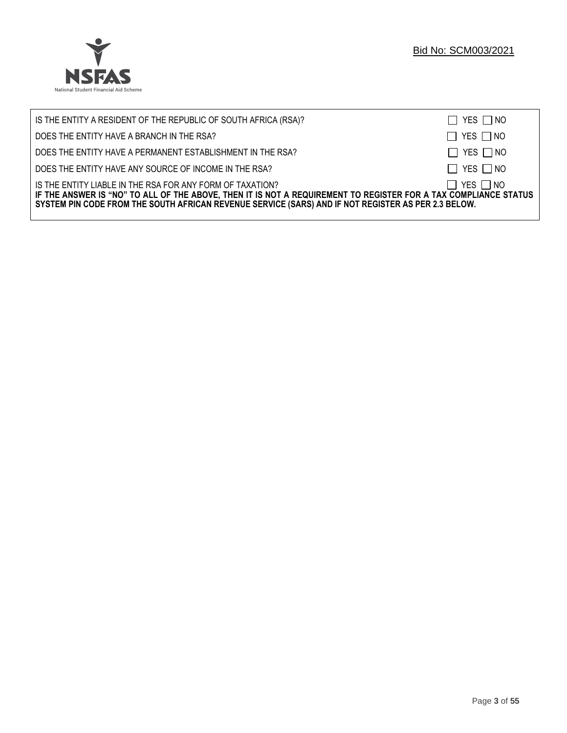

| IS THE ENTITY A RESIDENT OF THE REPUBLIC OF SOUTH AFRICA (RSA)?                                                                                                                                                                                                                     | $\Box$ YES $\Box$ NO |
|-------------------------------------------------------------------------------------------------------------------------------------------------------------------------------------------------------------------------------------------------------------------------------------|----------------------|
| DOES THE ENTITY HAVE A BRANCH IN THE RSA?                                                                                                                                                                                                                                           | $\Box$ YES $\Box$ NO |
| DOES THE ENTITY HAVE A PERMANENT ESTABLISHMENT IN THE RSA?                                                                                                                                                                                                                          | $\Box$ YES $\Box$ NO |
| DOES THE ENTITY HAVE ANY SOURCE OF INCOME IN THE RSA?                                                                                                                                                                                                                               | $\Box$ YES $\Box$ NO |
| IS THE ENTITY LIABLE IN THE RSA FOR ANY FORM OF TAXATION?<br>IF THE ANSWER IS "NO" TO ALL OF THE ABOVE, THEN IT IS NOT A REQUIREMENT TO REGISTER FOR A TAX COMPLIANCE STATUS<br>SYSTEM PIN CODE FROM THE SOUTH AFRICAN REVENUE SERVICE (SARS) AND IF NOT REGISTER AS PER 2.3 BELOW. | $\Box$ YES $\Box$ NO |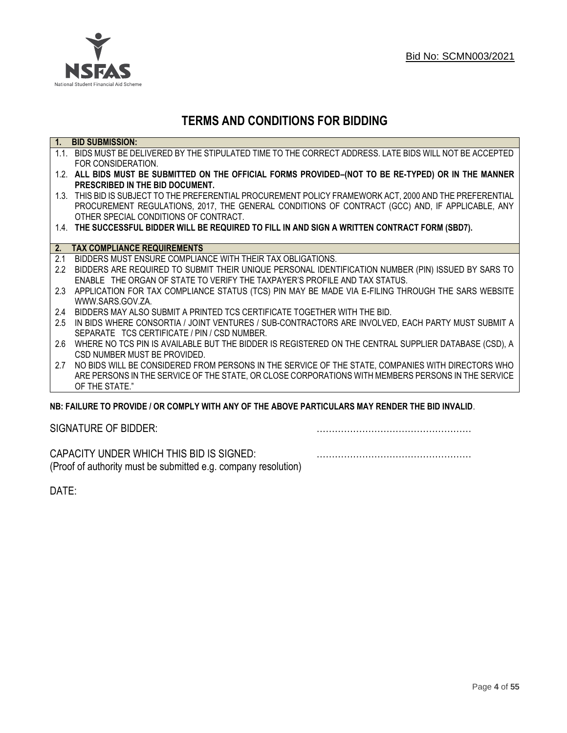

## **TERMS AND CONDITIONS FOR BIDDING**

| $\overline{1}$ . | <b>BID SUBMISSION:</b>                                                                                    |
|------------------|-----------------------------------------------------------------------------------------------------------|
|                  | 1.1. BIDS MUST BE DELIVERED BY THE STIPULATED TIME TO THE CORRECT ADDRESS. LATE BIDS WILL NOT BE ACCEPTED |
|                  | FOR CONSIDERATION.                                                                                        |
|                  | 1.2. ALL BIDS MUST BE SUBMITTED ON THE OFFICIAL FORMS PROVIDED-(NOT TO BE RE-TYPED) OR IN THE MANNER      |
|                  | PRESCRIBED IN THE BID DOCUMENT.                                                                           |
|                  | 1.3. THIS BID IS SUBJECT TO THE PREFERENTIAL PROCUREMENT POLICY FRAMEWORK ACT, 2000 AND THE PREFERENTIAL  |
|                  | PROCUREMENT REGULATIONS, 2017, THE GENERAL CONDITIONS OF CONTRACT (GCC) AND, IF APPLICABLE, ANY           |
|                  | OTHER SPECIAL CONDITIONS OF CONTRACT.                                                                     |
|                  | 1.4. THE SUCCESSFUL BIDDER WILL BE REQUIRED TO FILL IN AND SIGN A WRITTEN CONTRACT FORM (SBD7).           |
|                  |                                                                                                           |
|                  | 2. TAX COMPLIANCE REQUIREMENTS                                                                            |
| 2.1              | BIDDERS MUST ENSURE COMPLIANCE WITH THEIR TAX OBLIGATIONS.                                                |
| $2.2^{\circ}$    | BIDDERS ARE REQUIRED TO SUBMIT THEIR UNIQUE PERSONAL IDENTIFICATION NUMBER (PIN) ISSUED BY SARS TO        |
|                  | ENABLE THE ORGAN OF STATE TO VERIFY THE TAXPAYER'S PROFILE AND TAX STATUS.                                |
| 2.3              | APPLICATION FOR TAX COMPLIANCE STATUS (TCS) PIN MAY BE MADE VIA E-FILING THROUGH THE SARS WEBSITE         |
|                  | WWW.SARS.GOV.ZA.                                                                                          |
| 2.4              | BIDDERS MAY ALSO SUBMIT A PRINTED TCS CERTIFICATE TOGETHER WITH THE BID.                                  |
| 2.5              | IN BIDS WHERE CONSORTIA / JOINT VENTURES / SUB-CONTRACTORS ARE INVOLVED, EACH PARTY MUST SUBMIT A         |
|                  | SEPARATE TCS CERTIFICATE / PIN / CSD NUMBER.                                                              |
| 2.6              | WHERE NO TCS PIN IS AVAILABLE BUT THE BIDDER IS REGISTERED ON THE CENTRAL SUPPLIER DATABASE (CSD), A      |
|                  | CSD NUMBER MUST BE PROVIDED.                                                                              |
| 2.7              | NO BIDS WILL BE CONSIDERED FROM PERSONS IN THE SERVICE OF THE STATE, COMPANIES WITH DIRECTORS WHO         |
|                  | ARE PERSONS IN THE SERVICE OF THE STATE, OR CLOSE CORPORATIONS WITH MEMBERS PERSONS IN THE SERVICE        |
|                  | OF THE STATE."                                                                                            |
|                  | ND. EAILHDE TÓ DDÓVIDE LÓD CÓMDLV WITH ANY ÓE THE ADÓVE DADTICHLADO MAY DENDED THE DID INVALID.           |

### **NB: FAILURE TO PROVIDE / OR COMPLY WITH ANY OF THE ABOVE PARTICULARS MAY RENDER THE BID INVALID**.

|  | SIGNATURE OF BIDDER: |
|--|----------------------|
|--|----------------------|

SIGNATURE OF BIDDER: ……………………………………………

CAPACITY UNDER WHICH THIS BID IS SIGNED: …………………………………………… (Proof of authority must be submitted e.g. company resolution)

DATE: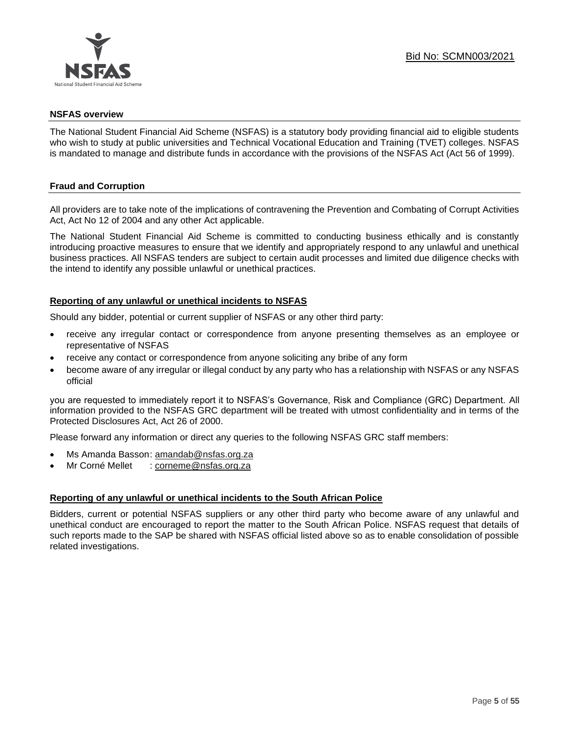

### **NSFAS overview**

The National Student Financial Aid Scheme (NSFAS) is a statutory body providing financial aid to eligible students who wish to study at public universities and Technical Vocational Education and Training (TVET) colleges. NSFAS is mandated to manage and distribute funds in accordance with the provisions of the NSFAS Act (Act 56 of 1999).

### **Fraud and Corruption**

All providers are to take note of the implications of contravening the Prevention and Combating of Corrupt Activities Act, Act No 12 of 2004 and any other Act applicable.

The National Student Financial Aid Scheme is committed to conducting business ethically and is constantly introducing proactive measures to ensure that we identify and appropriately respond to any unlawful and unethical business practices. All NSFAS tenders are subject to certain audit processes and limited due diligence checks with the intend to identify any possible unlawful or unethical practices.

### **Reporting of any unlawful or unethical incidents to NSFAS**

Should any bidder, potential or current supplier of NSFAS or any other third party:

- receive any irregular contact or correspondence from anyone presenting themselves as an employee or representative of NSFAS
- receive any contact or correspondence from anyone soliciting any bribe of any form
- become aware of any irregular or illegal conduct by any party who has a relationship with NSFAS or any NSFAS official

you are requested to immediately report it to NSFAS's Governance, Risk and Compliance (GRC) Department. All information provided to the NSFAS GRC department will be treated with utmost confidentiality and in terms of the Protected Disclosures Act, Act 26 of 2000.

Please forward any information or direct any queries to the following NSFAS GRC staff members:

- Ms Amanda Basson: [amandab@nsfas.org.za](mailto:amandab@nsfas.org.za)
- Mr Corné Mellet : [corneme@nsfas.org.za](mailto:corneme@nsfas.org.za)

### **Reporting of any unlawful or unethical incidents to the South African Police**

Bidders, current or potential NSFAS suppliers or any other third party who become aware of any unlawful and unethical conduct are encouraged to report the matter to the South African Police. NSFAS request that details of such reports made to the SAP be shared with NSFAS official listed above so as to enable consolidation of possible related investigations.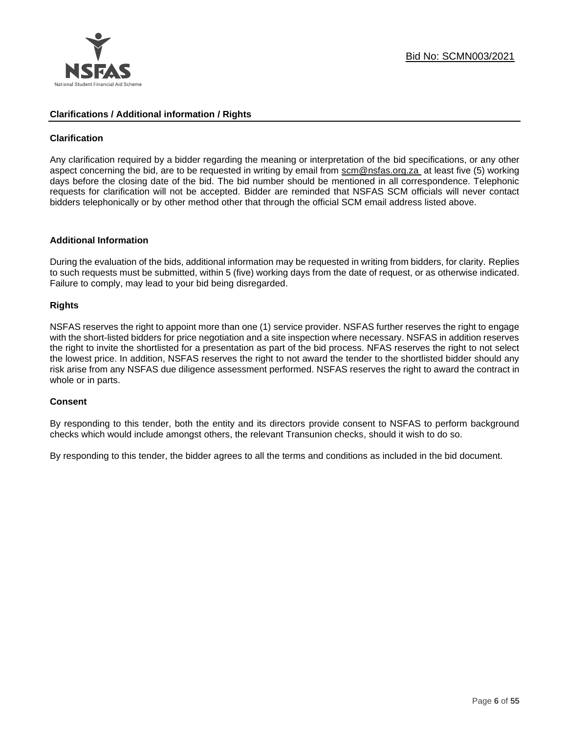

### **Clarifications / Additional information / Rights**

### **Clarification**

Any clarification required by a bidder regarding the meaning or interpretation of the bid specifications, or any other aspect concerning the bid, are to be requested in writing by email from [scm@nsfas.org.za](mailto:scm@nsfas.org.za) at least five (5) working days before the closing date of the bid. The bid number should be mentioned in all correspondence. Telephonic requests for clarification will not be accepted. Bidder are reminded that NSFAS SCM officials will never contact bidders telephonically or by other method other that through the official SCM email address listed above.

### **Additional Information**

During the evaluation of the bids, additional information may be requested in writing from bidders, for clarity. Replies to such requests must be submitted, within 5 (five) working days from the date of request, or as otherwise indicated. Failure to comply, may lead to your bid being disregarded.

### **Rights**

NSFAS reserves the right to appoint more than one (1) service provider. NSFAS further reserves the right to engage with the short-listed bidders for price negotiation and a site inspection where necessary. NSFAS in addition reserves the right to invite the shortlisted for a presentation as part of the bid process. NFAS reserves the right to not select the lowest price. In addition, NSFAS reserves the right to not award the tender to the shortlisted bidder should any risk arise from any NSFAS due diligence assessment performed. NSFAS reserves the right to award the contract in whole or in parts.

### **Consent**

By responding to this tender, both the entity and its directors provide consent to NSFAS to perform background checks which would include amongst others, the relevant Transunion checks, should it wish to do so.

By responding to this tender, the bidder agrees to all the terms and conditions as included in the bid document.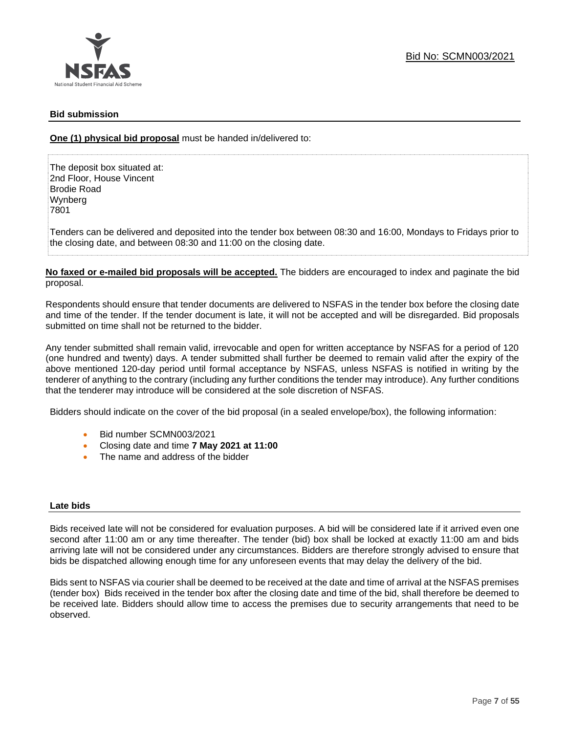### **Bid submission**

**One (1) physical bid proposal** must be handed in/delivered to:

The deposit box situated at: 2nd Floor, House Vincent Brodie Road Wynberg 7801

Tenders can be delivered and deposited into the tender box between 08:30 and 16:00, Mondays to Fridays prior to the closing date, and between 08:30 and 11:00 on the closing date.

**No faxed or e-mailed bid proposals will be accepted.** The bidders are encouraged to index and paginate the bid proposal.

Respondents should ensure that tender documents are delivered to NSFAS in the tender box before the closing date and time of the tender. If the tender document is late, it will not be accepted and will be disregarded. Bid proposals submitted on time shall not be returned to the bidder.

Any tender submitted shall remain valid, irrevocable and open for written acceptance by NSFAS for a period of 120 (one hundred and twenty) days. A tender submitted shall further be deemed to remain valid after the expiry of the above mentioned 120-day period until formal acceptance by NSFAS, unless NSFAS is notified in writing by the tenderer of anything to the contrary (including any further conditions the tender may introduce). Any further conditions that the tenderer may introduce will be considered at the sole discretion of NSFAS.

Bidders should indicate on the cover of the bid proposal (in a sealed envelope/box), the following information:

- Bid number SCMN003/2021
- Closing date and time **7 May 2021 at 11:00**
- The name and address of the bidder

### **Late bids**

Bids received late will not be considered for evaluation purposes. A bid will be considered late if it arrived even one second after 11:00 am or any time thereafter. The tender (bid) box shall be locked at exactly 11:00 am and bids arriving late will not be considered under any circumstances. Bidders are therefore strongly advised to ensure that bids be dispatched allowing enough time for any unforeseen events that may delay the delivery of the bid.

Bids sent to NSFAS via courier shall be deemed to be received at the date and time of arrival at the NSFAS premises (tender box) Bids received in the tender box after the closing date and time of the bid, shall therefore be deemed to be received late. Bidders should allow time to access the premises due to security arrangements that need to be observed.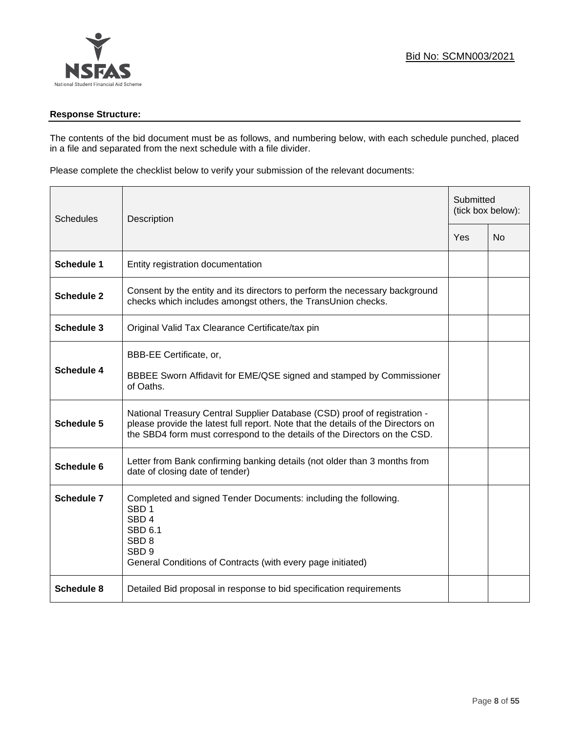

### **Response Structure:**

The contents of the bid document must be as follows, and numbering below, with each schedule punched, placed in a file and separated from the next schedule with a file divider.

Please complete the checklist below to verify your submission of the relevant documents:

| <b>Schedules</b><br>Description |                                                                                                                                                                                                                                            | Submitted<br>(tick box below): |           |
|---------------------------------|--------------------------------------------------------------------------------------------------------------------------------------------------------------------------------------------------------------------------------------------|--------------------------------|-----------|
|                                 |                                                                                                                                                                                                                                            | Yes                            | <b>No</b> |
| <b>Schedule 1</b>               | Entity registration documentation                                                                                                                                                                                                          |                                |           |
| <b>Schedule 2</b>               | Consent by the entity and its directors to perform the necessary background<br>checks which includes amongst others, the TransUnion checks.                                                                                                |                                |           |
| <b>Schedule 3</b>               | Original Valid Tax Clearance Certificate/tax pin                                                                                                                                                                                           |                                |           |
| <b>Schedule 4</b>               | BBB-EE Certificate, or,<br>BBBEE Sworn Affidavit for EME/QSE signed and stamped by Commissioner<br>of Oaths.                                                                                                                               |                                |           |
| <b>Schedule 5</b>               | National Treasury Central Supplier Database (CSD) proof of registration -<br>please provide the latest full report. Note that the details of the Directors on<br>the SBD4 form must correspond to the details of the Directors on the CSD. |                                |           |
| Schedule 6                      | Letter from Bank confirming banking details (not older than 3 months from<br>date of closing date of tender)                                                                                                                               |                                |           |
| Schedule 7                      | Completed and signed Tender Documents: including the following.<br>SBD <sub>1</sub><br>SBD <sub>4</sub><br><b>SBD 6.1</b><br>SBD <sub>8</sub><br>SBD <sub>9</sub><br>General Conditions of Contracts (with every page initiated)           |                                |           |
| <b>Schedule 8</b>               | Detailed Bid proposal in response to bid specification requirements                                                                                                                                                                        |                                |           |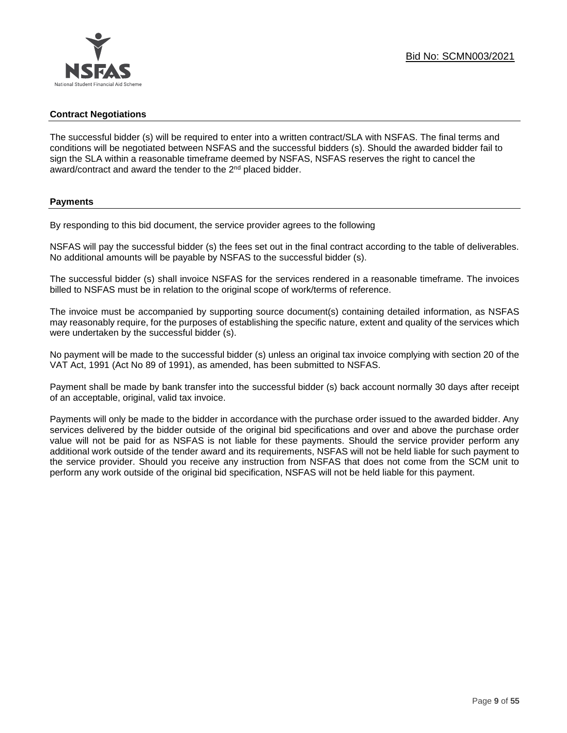### **Contract Negotiations**

The successful bidder (s) will be required to enter into a written contract/SLA with NSFAS. The final terms and conditions will be negotiated between NSFAS and the successful bidders (s). Should the awarded bidder fail to sign the SLA within a reasonable timeframe deemed by NSFAS, NSFAS reserves the right to cancel the award/contract and award the tender to the 2<sup>nd</sup> placed bidder.

### **Payments**

By responding to this bid document, the service provider agrees to the following

NSFAS will pay the successful bidder (s) the fees set out in the final contract according to the table of deliverables. No additional amounts will be payable by NSFAS to the successful bidder (s).

The successful bidder (s) shall invoice NSFAS for the services rendered in a reasonable timeframe. The invoices billed to NSFAS must be in relation to the original scope of work/terms of reference.

The invoice must be accompanied by supporting source document(s) containing detailed information, as NSFAS may reasonably require, for the purposes of establishing the specific nature, extent and quality of the services which were undertaken by the successful bidder (s).

No payment will be made to the successful bidder (s) unless an original tax invoice complying with section 20 of the VAT Act, 1991 (Act No 89 of 1991), as amended, has been submitted to NSFAS.

Payment shall be made by bank transfer into the successful bidder (s) back account normally 30 days after receipt of an acceptable, original, valid tax invoice.

Payments will only be made to the bidder in accordance with the purchase order issued to the awarded bidder. Any services delivered by the bidder outside of the original bid specifications and over and above the purchase order value will not be paid for as NSFAS is not liable for these payments. Should the service provider perform any additional work outside of the tender award and its requirements, NSFAS will not be held liable for such payment to the service provider. Should you receive any instruction from NSFAS that does not come from the SCM unit to perform any work outside of the original bid specification, NSFAS will not be held liable for this payment.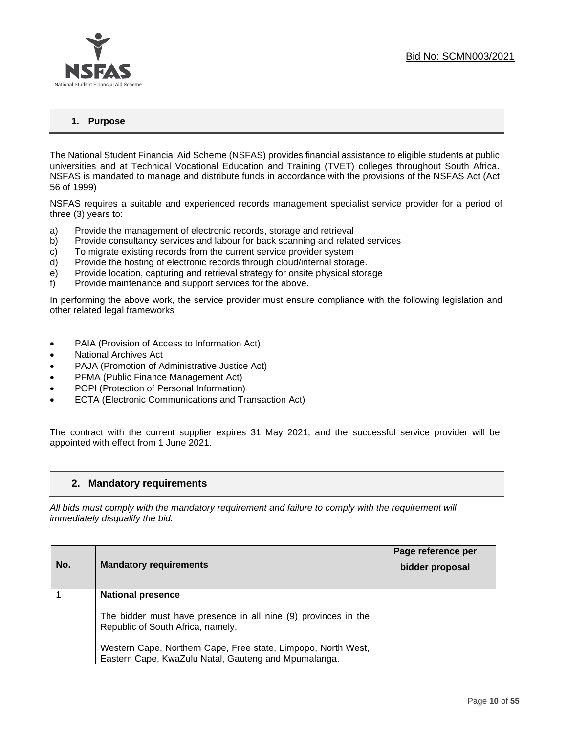

### **1. Purpose**

The National Student Financial Aid Scheme (NSFAS) provides financial assistance to eligible students at public universities and at Technical Vocational Education and Training (TVET) colleges throughout South Africa. NSFAS is mandated to manage and distribute funds in accordance with the provisions of the NSFAS Act (Act 56 of 1999)

NSFAS requires a suitable and experienced records management specialist service provider for a period of three (3) years to:

- a) Provide the management of electronic records, storage and retrieval
- b) Provide consultancy services and labour for back scanning and related services
- c) To migrate existing records from the current service provider system
- d) Provide the hosting of electronic records through cloud/internal storage.
- e) Provide location, capturing and retrieval strategy for onsite physical storage
- f) Provide maintenance and support services for the above.

In performing the above work, the service provider must ensure compliance with the following legislation and other related legal frameworks

- PAIA (Provision of Access to Information Act)
- National Archives Act
- PAJA (Promotion of Administrative Justice Act)
- PFMA (Public Finance Management Act)
- POPI (Protection of Personal Information)
- ECTA (Electronic Communications and Transaction Act)

The contract with the current supplier expires 31 May 2021, and the successful service provider will be appointed with effect from 1 June 2021.

### **2. Mandatory requirements**

*All bids must comply with the mandatory requirement and failure to comply with the requirement will immediately disqualify the bid.*

|     |                                                                                                     | Page reference per |
|-----|-----------------------------------------------------------------------------------------------------|--------------------|
| No. | <b>Mandatory requirements</b>                                                                       | bidder proposal    |
|     | <b>National presence</b>                                                                            |                    |
|     |                                                                                                     |                    |
|     | The bidder must have presence in all nine (9) provinces in the<br>Republic of South Africa, namely, |                    |
|     |                                                                                                     |                    |
|     | Western Cape, Northern Cape, Free state, Limpopo, North West,                                       |                    |
|     | Eastern Cape, KwaZulu Natal, Gauteng and Mpumalanga.                                                |                    |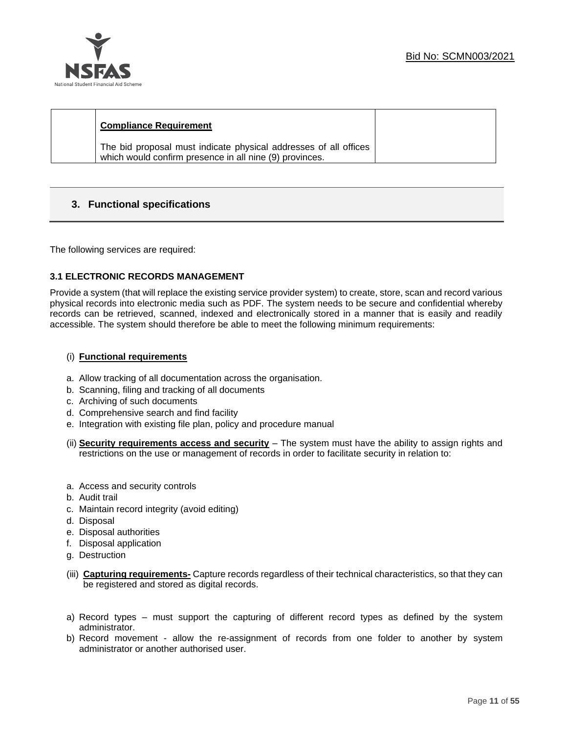

### **Compliance Requirement**

The bid proposal must indicate physical addresses of all offices which would confirm presence in all nine (9) provinces.

### **3. Functional specifications**

The following services are required:

### **3.1 ELECTRONIC RECORDS MANAGEMENT**

Provide a system (that will replace the existing service provider system) to create, store, scan and record various physical records into electronic media such as PDF. The system needs to be secure and confidential whereby records can be retrieved, scanned, indexed and electronically stored in a manner that is easily and readily accessible. The system should therefore be able to meet the following minimum requirements:

### (i) **Functional requirements**

- a. Allow tracking of all documentation across the organisation.
- b. Scanning, filing and tracking of all documents
- c. Archiving of such documents
- d. Comprehensive search and find facility
- e. Integration with existing file plan, policy and procedure manual
- (ii) **Security requirements access and security** The system must have the ability to assign rights and restrictions on the use or management of records in order to facilitate security in relation to:
- a. Access and security controls
- b. Audit trail
- c. Maintain record integrity (avoid editing)
- d. Disposal
- e. Disposal authorities
- f. Disposal application
- g. Destruction
- (iii) **Capturing requirements-** Capture records regardless of their technical characteristics, so that they can be registered and stored as digital records.
- a) Record types must support the capturing of different record types as defined by the system administrator.
- b) Record movement allow the re-assignment of records from one folder to another by system administrator or another authorised user.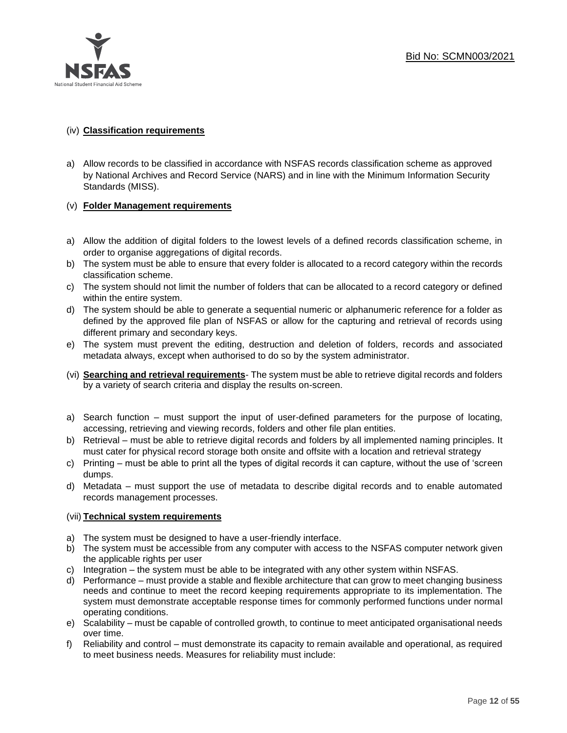

### (iv) **Classification requirements**

a) Allow records to be classified in accordance with NSFAS records classification scheme as approved by National Archives and Record Service (NARS) and in line with the Minimum Information Security Standards (MISS).

### (v) **Folder Management requirements**

- a) Allow the addition of digital folders to the lowest levels of a defined records classification scheme, in order to organise aggregations of digital records.
- b) The system must be able to ensure that every folder is allocated to a record category within the records classification scheme.
- c) The system should not limit the number of folders that can be allocated to a record category or defined within the entire system.
- d) The system should be able to generate a sequential numeric or alphanumeric reference for a folder as defined by the approved file plan of NSFAS or allow for the capturing and retrieval of records using different primary and secondary keys.
- e) The system must prevent the editing, destruction and deletion of folders, records and associated metadata always, except when authorised to do so by the system administrator.
- (vi) **Searching and retrieval requirements** The system must be able to retrieve digital records and folders by a variety of search criteria and display the results on-screen.
- a) Search function must support the input of user-defined parameters for the purpose of locating, accessing, retrieving and viewing records, folders and other file plan entities.
- b) Retrieval must be able to retrieve digital records and folders by all implemented naming principles. It must cater for physical record storage both onsite and offsite with a location and retrieval strategy
- c) Printing must be able to print all the types of digital records it can capture, without the use of 'screen dumps.
- d) Metadata must support the use of metadata to describe digital records and to enable automated records management processes.

### (vii) **Technical system requirements**

- a) The system must be designed to have a user-friendly interface.
- b) The system must be accessible from any computer with access to the NSFAS computer network given the applicable rights per user
- c) Integration the system must be able to be integrated with any other system within NSFAS.
- d) Performance must provide a stable and flexible architecture that can grow to meet changing business needs and continue to meet the record keeping requirements appropriate to its implementation. The system must demonstrate acceptable response times for commonly performed functions under normal operating conditions.
- e) Scalability must be capable of controlled growth, to continue to meet anticipated organisational needs over time.
- f) Reliability and control must demonstrate its capacity to remain available and operational, as required to meet business needs. Measures for reliability must include: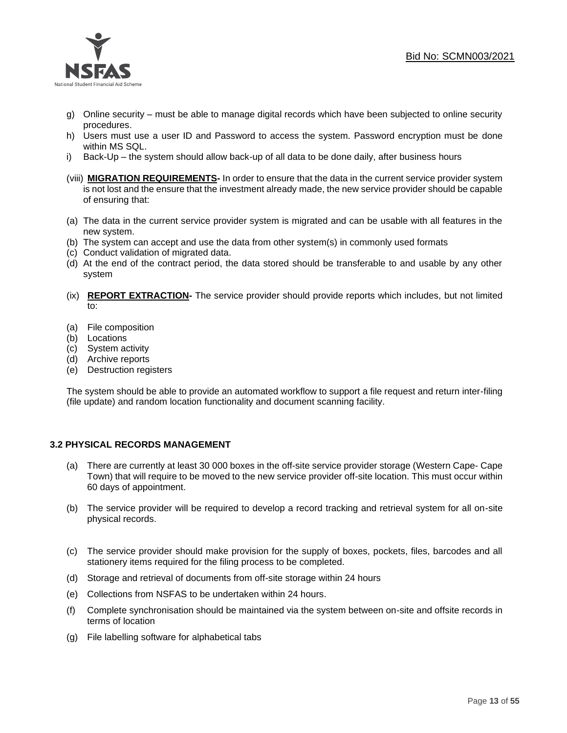

- g) Online security must be able to manage digital records which have been subjected to online security procedures.
- h) Users must use a user ID and Password to access the system. Password encryption must be done within MS SQL.
- i) Back-Up the system should allow back-up of all data to be done daily, after business hours
- (viii) **MIGRATION REQUIREMENTS-** In order to ensure that the data in the current service provider system is not lost and the ensure that the investment already made, the new service provider should be capable of ensuring that:
- (a) The data in the current service provider system is migrated and can be usable with all features in the new system.
- (b) The system can accept and use the data from other system(s) in commonly used formats
- (c) Conduct validation of migrated data.
- (d) At the end of the contract period, the data stored should be transferable to and usable by any other system
- (ix) **REPORT EXTRACTION-** The service provider should provide reports which includes, but not limited to:
- (a) File composition
- (b) Locations
- (c) System activity
- (d) Archive reports
- (e) Destruction registers

The system should be able to provide an automated workflow to support a file request and return inter-filing (file update) and random location functionality and document scanning facility.

### **3.2 PHYSICAL RECORDS MANAGEMENT**

- (a) There are currently at least 30 000 boxes in the off-site service provider storage (Western Cape- Cape Town) that will require to be moved to the new service provider off-site location. This must occur within 60 days of appointment.
- (b) The service provider will be required to develop a record tracking and retrieval system for all on-site physical records.
- (c) The service provider should make provision for the supply of boxes, pockets, files, barcodes and all stationery items required for the filing process to be completed.
- (d) Storage and retrieval of documents from off-site storage within 24 hours
- (e) Collections from NSFAS to be undertaken within 24 hours.
- (f) Complete synchronisation should be maintained via the system between on-site and offsite records in terms of location
- (g) File labelling software for alphabetical tabs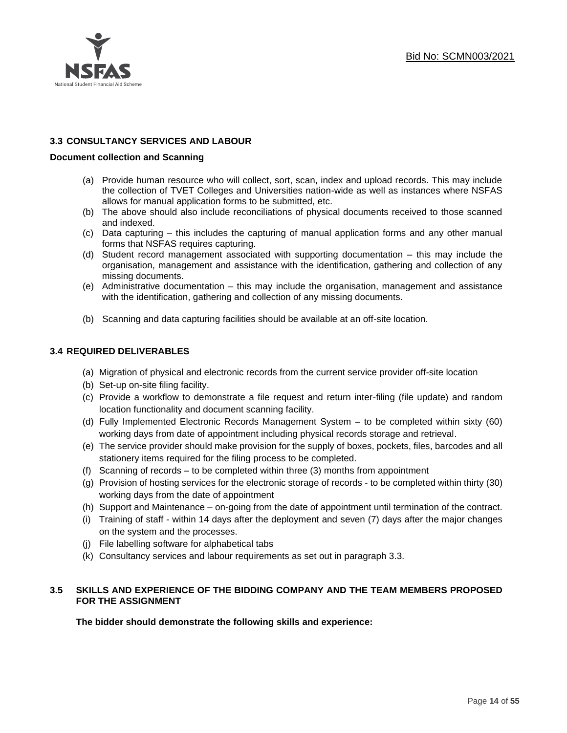### **3.3 CONSULTANCY SERVICES AND LABOUR**

### **Document collection and Scanning**

- (a) Provide human resource who will collect, sort, scan, index and upload records. This may include the collection of TVET Colleges and Universities nation-wide as well as instances where NSFAS allows for manual application forms to be submitted, etc.
- (b) The above should also include reconciliations of physical documents received to those scanned and indexed.
- (c) Data capturing this includes the capturing of manual application forms and any other manual forms that NSFAS requires capturing.
- (d) Student record management associated with supporting documentation this may include the organisation, management and assistance with the identification, gathering and collection of any missing documents.
- (e) Administrative documentation this may include the organisation, management and assistance with the identification, gathering and collection of any missing documents.
- (b) Scanning and data capturing facilities should be available at an off-site location.

### **3.4 REQUIRED DELIVERABLES**

- (a) Migration of physical and electronic records from the current service provider off-site location
- (b) Set-up on-site filing facility.
- (c) Provide a workflow to demonstrate a file request and return inter-filing (file update) and random location functionality and document scanning facility.
- (d) Fully Implemented Electronic Records Management System to be completed within sixty (60) working days from date of appointment including physical records storage and retrieval.
- (e) The service provider should make provision for the supply of boxes, pockets, files, barcodes and all stationery items required for the filing process to be completed.
- (f) Scanning of records to be completed within three (3) months from appointment
- (g) Provision of hosting services for the electronic storage of records to be completed within thirty (30) working days from the date of appointment
- (h) Support and Maintenance on-going from the date of appointment until termination of the contract.
- (i) Training of staff within 14 days after the deployment and seven (7) days after the major changes on the system and the processes.
- (j) File labelling software for alphabetical tabs
- (k) Consultancy services and labour requirements as set out in paragraph 3.3.

### **3.5 SKILLS AND EXPERIENCE OF THE BIDDING COMPANY AND THE TEAM MEMBERS PROPOSED FOR THE ASSIGNMENT**

**The bidder should demonstrate the following skills and experience:**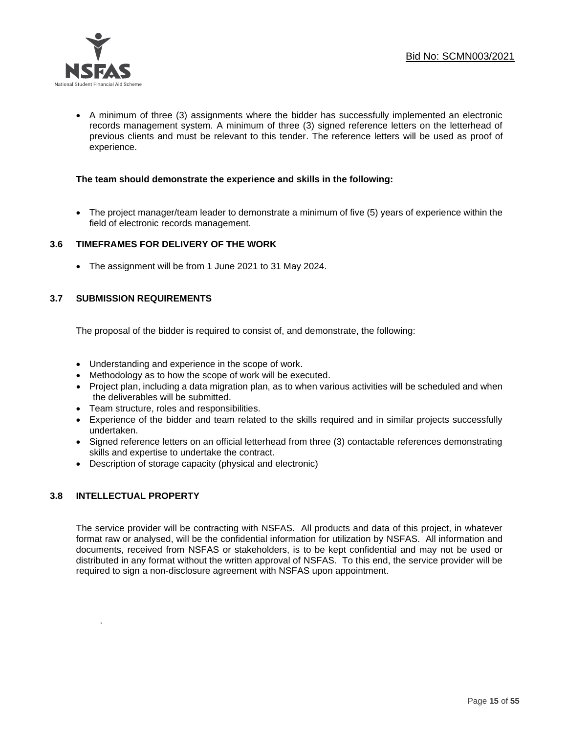

• A minimum of three (3) assignments where the bidder has successfully implemented an electronic records management system. A minimum of three (3) signed reference letters on the letterhead of previous clients and must be relevant to this tender. The reference letters will be used as proof of experience.

### **The team should demonstrate the experience and skills in the following:**

• The project manager/team leader to demonstrate a minimum of five (5) years of experience within the field of electronic records management.

### **3.6 TIMEFRAMES FOR DELIVERY OF THE WORK**

• The assignment will be from 1 June 2021 to 31 May 2024.

### **3.7 SUBMISSION REQUIREMENTS**

The proposal of the bidder is required to consist of, and demonstrate, the following:

- Understanding and experience in the scope of work.
- Methodology as to how the scope of work will be executed.
- Project plan, including a data migration plan, as to when various activities will be scheduled and when the deliverables will be submitted.
- Team structure, roles and responsibilities.
- Experience of the bidder and team related to the skills required and in similar projects successfully undertaken.
- Signed reference letters on an official letterhead from three (3) contactable references demonstrating skills and expertise to undertake the contract.
- Description of storage capacity (physical and electronic)

### **3.8 INTELLECTUAL PROPERTY**

.

The service provider will be contracting with NSFAS. All products and data of this project, in whatever format raw or analysed, will be the confidential information for utilization by NSFAS. All information and documents, received from NSFAS or stakeholders, is to be kept confidential and may not be used or distributed in any format without the written approval of NSFAS. To this end, the service provider will be required to sign a non-disclosure agreement with NSFAS upon appointment.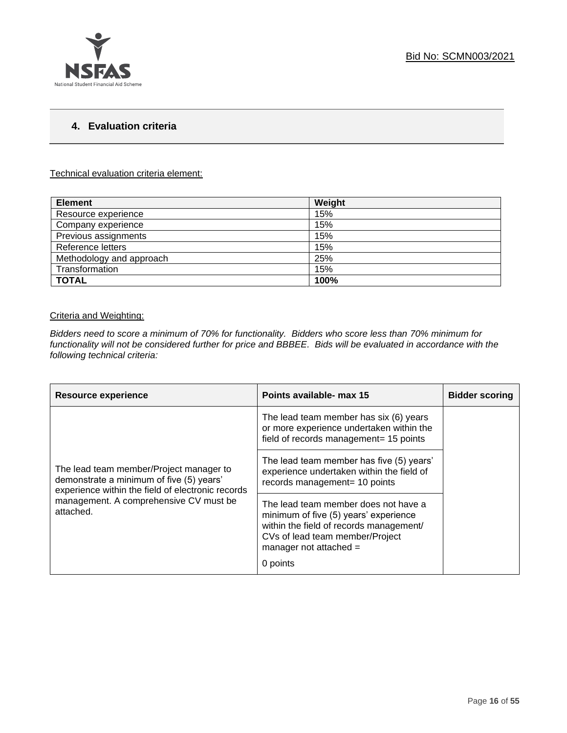### **4. Evaluation criteria**

### Technical evaluation criteria element:

| <b>Element</b>           | Weight |
|--------------------------|--------|
| Resource experience      | 15%    |
| Company experience       | 15%    |
| Previous assignments     | 15%    |
| Reference letters        | 15%    |
| Methodology and approach | 25%    |
| Transformation           | 15%    |
| <b>TOTAL</b>             | 100%   |

### Criteria and Weighting:

*Bidders need to score a minimum of 70% for functionality. Bidders who score less than 70% minimum for functionality will not be considered further for price and BBBEE. Bids will be evaluated in accordance with the following technical criteria:*

| <b>Resource experience</b>                                                                                                                                                                      | Points available- max 15                                                                                                                                                                            | <b>Bidder scoring</b> |
|-------------------------------------------------------------------------------------------------------------------------------------------------------------------------------------------------|-----------------------------------------------------------------------------------------------------------------------------------------------------------------------------------------------------|-----------------------|
| The lead team member/Project manager to<br>demonstrate a minimum of five (5) years'<br>experience within the field of electronic records<br>management. A comprehensive CV must be<br>attached. | The lead team member has six (6) years<br>or more experience undertaken within the<br>field of records management= 15 points                                                                        |                       |
|                                                                                                                                                                                                 | The lead team member has five (5) years'<br>experience undertaken within the field of<br>records management= 10 points                                                                              |                       |
|                                                                                                                                                                                                 | The lead team member does not have a<br>minimum of five (5) years' experience<br>within the field of records management/<br>CVs of lead team member/Project<br>manager not attached $=$<br>0 points |                       |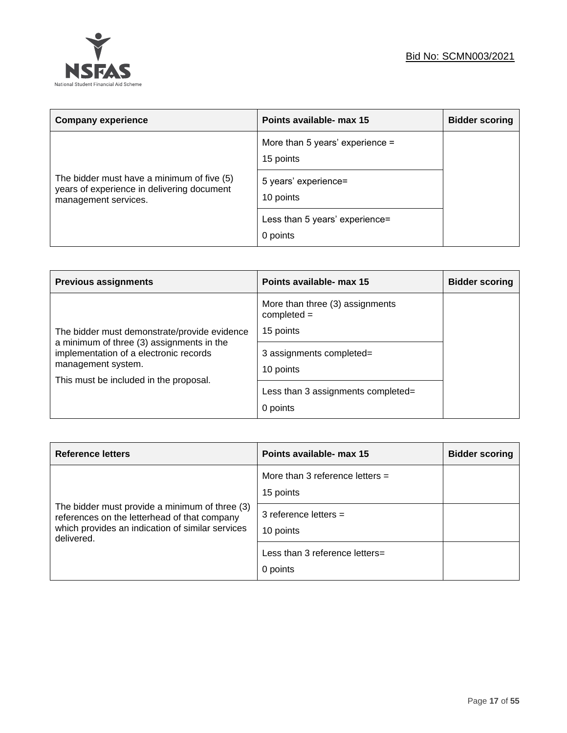

| <b>Company experience</b>                                                                                        | Points available- max 15                     | <b>Bidder scoring</b> |
|------------------------------------------------------------------------------------------------------------------|----------------------------------------------|-----------------------|
|                                                                                                                  | More than 5 years' experience =<br>15 points |                       |
| The bidder must have a minimum of five (5)<br>years of experience in delivering document<br>management services. | 5 years' experience=<br>10 points            |                       |
|                                                                                                                  | Less than 5 years' experience=<br>0 points   |                       |

| <b>Previous assignments</b>                                                                                                                                                                         | Points available- max 15                                                                                                                                 | <b>Bidder scoring</b> |
|-----------------------------------------------------------------------------------------------------------------------------------------------------------------------------------------------------|----------------------------------------------------------------------------------------------------------------------------------------------------------|-----------------------|
| The bidder must demonstrate/provide evidence<br>a minimum of three (3) assignments in the<br>implementation of a electronic records<br>management system.<br>This must be included in the proposal. | More than three (3) assignments<br>$completed =$<br>15 points<br>3 assignments completed=<br>10 points<br>Less than 3 assignments completed=<br>0 points |                       |

| <b>Reference letters</b>                                                                                                                                         | Points available- max 15                       | <b>Bidder scoring</b> |
|------------------------------------------------------------------------------------------------------------------------------------------------------------------|------------------------------------------------|-----------------------|
|                                                                                                                                                                  | More than 3 reference letters $=$<br>15 points |                       |
| The bidder must provide a minimum of three (3)<br>references on the letterhead of that company<br>which provides an indication of similar services<br>delivered. | 3 reference letters $=$<br>10 points           |                       |
|                                                                                                                                                                  | Less than 3 reference letters=<br>0 points     |                       |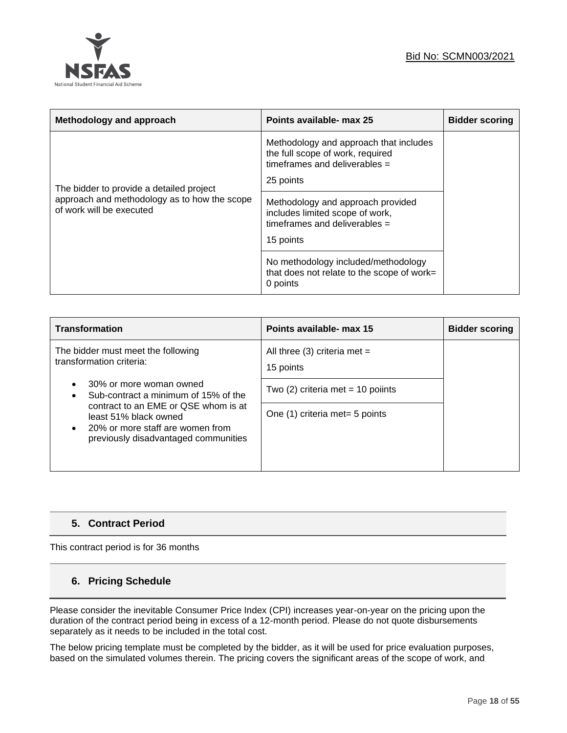### Bid No: SCMN003/2021



| Methodology and approach                                                 | Points available- max 25                                                                                                   | <b>Bidder scoring</b> |
|--------------------------------------------------------------------------|----------------------------------------------------------------------------------------------------------------------------|-----------------------|
| The bidder to provide a detailed project                                 | Methodology and approach that includes<br>the full scope of work, required<br>timeframes and deliverables $=$<br>25 points |                       |
| approach and methodology as to how the scope<br>of work will be executed | Methodology and approach provided<br>includes limited scope of work,<br>timeframes and deliverables $=$<br>15 points       |                       |
|                                                                          | No methodology included/methodology<br>that does not relate to the scope of work=<br>0 points                              |                       |

| <b>Transformation</b>                                                                                                                     | Points available- max 15                  | <b>Bidder scoring</b> |
|-------------------------------------------------------------------------------------------------------------------------------------------|-------------------------------------------|-----------------------|
| The bidder must meet the following<br>transformation criteria:                                                                            | All three (3) criteria met =<br>15 points |                       |
| 30% or more woman owned<br>Sub-contract a minimum of 15% of the                                                                           | Two $(2)$ criteria met = 10 poiints       |                       |
| contract to an EME or QSE whom is at<br>least 51% black owned<br>20% or more staff are women from<br>previously disadvantaged communities | One (1) criteria met = 5 points           |                       |

### **5. Contract Period**

This contract period is for 36 months

### **6. Pricing Schedule**

Please consider the inevitable Consumer Price Index (CPI) increases year-on-year on the pricing upon the duration of the contract period being in excess of a 12-month period. Please do not quote disbursements separately as it needs to be included in the total cost.

The below pricing template must be completed by the bidder, as it will be used for price evaluation purposes, based on the simulated volumes therein. The pricing covers the significant areas of the scope of work, and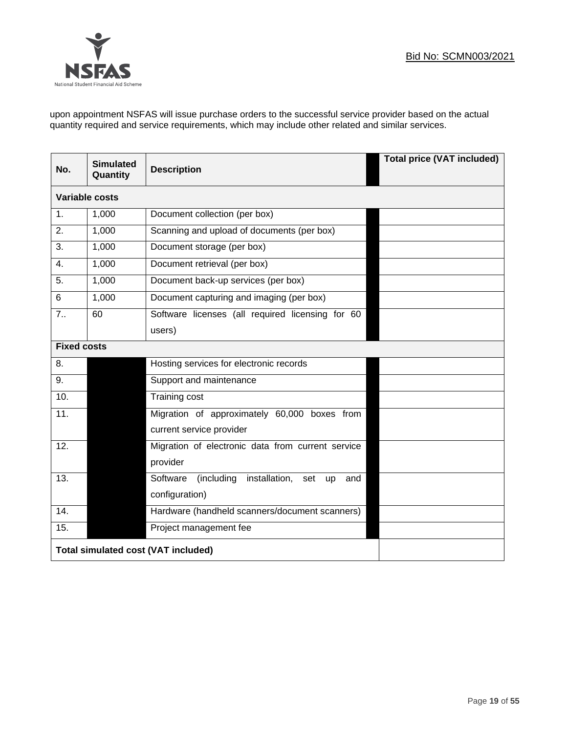

upon appointment NSFAS will issue purchase orders to the successful service provider based on the actual quantity required and service requirements, which may include other related and similar services.

| No.                | <b>Simulated</b><br>Quantity               | <b>Description</b>                                           | <b>Total price (VAT included)</b> |  |
|--------------------|--------------------------------------------|--------------------------------------------------------------|-----------------------------------|--|
|                    | <b>Variable costs</b>                      |                                                              |                                   |  |
| $\mathbf{1}$ .     | 1,000                                      | Document collection (per box)                                |                                   |  |
| 2.                 | 1,000                                      | Scanning and upload of documents (per box)                   |                                   |  |
| 3.                 | 1,000                                      | Document storage (per box)                                   |                                   |  |
| 4.                 | 1,000                                      | Document retrieval (per box)                                 |                                   |  |
| 5.                 | 1,000                                      | Document back-up services (per box)                          |                                   |  |
| 6                  | 1,000                                      | Document capturing and imaging (per box)                     |                                   |  |
| 7.5                | 60                                         | Software licenses (all required licensing for 60             |                                   |  |
|                    |                                            | users)                                                       |                                   |  |
| <b>Fixed costs</b> |                                            |                                                              |                                   |  |
| 8.                 |                                            | Hosting services for electronic records                      |                                   |  |
| 9.                 |                                            | Support and maintenance                                      |                                   |  |
| 10.                |                                            | Training cost                                                |                                   |  |
| 11.                |                                            | Migration of approximately 60,000 boxes from                 |                                   |  |
|                    |                                            | current service provider                                     |                                   |  |
| 12.                |                                            | Migration of electronic data from current service            |                                   |  |
|                    |                                            | provider                                                     |                                   |  |
| 13.                |                                            | (including installation, set<br>Software<br><b>up</b><br>and |                                   |  |
|                    |                                            | configuration)                                               |                                   |  |
| 14.                |                                            | Hardware (handheld scanners/document scanners)               |                                   |  |
| 15.                |                                            | Project management fee                                       |                                   |  |
|                    | <b>Total simulated cost (VAT included)</b> |                                                              |                                   |  |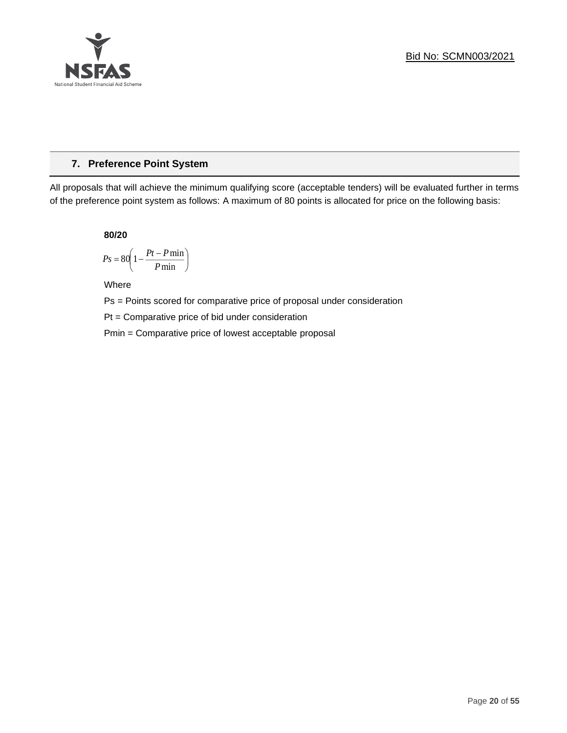

### **7. Preference Point System**

All proposals that will achieve the minimum qualifying score (acceptable tenders) will be evaluated further in terms of the preference point system as follows: A maximum of 80 points is allocated for price on the following basis:

**80/20**

$$
Ps = 80 \left( 1 - \frac{Pt - P \min}{P \min} \right)
$$

Where

Ps = Points scored for comparative price of proposal under consideration

Pt = Comparative price of bid under consideration

Pmin = Comparative price of lowest acceptable proposal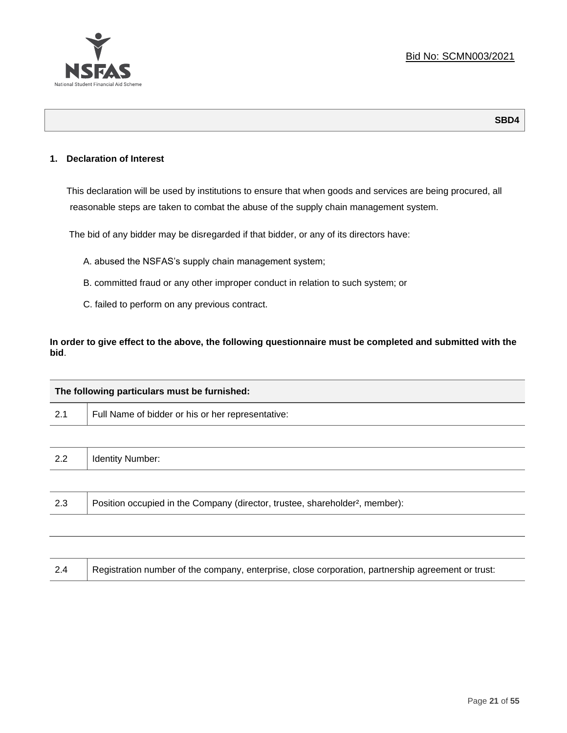

**SBD4**

### **1. Declaration of Interest**

This declaration will be used by institutions to ensure that when goods and services are being procured, all reasonable steps are taken to combat the abuse of the supply chain management system.

The bid of any bidder may be disregarded if that bidder, or any of its directors have:

- A. abused the NSFAS's supply chain management system;
- B. committed fraud or any other improper conduct in relation to such system; or
- C. failed to perform on any previous contract.

**In order to give effect to the above, the following questionnaire must be completed and submitted with the bid**.

| The following particulars must be furnished: |                                                                                          |  |  |
|----------------------------------------------|------------------------------------------------------------------------------------------|--|--|
| 2.1                                          | Full Name of bidder or his or her representative:                                        |  |  |
|                                              |                                                                                          |  |  |
| 2.2                                          | <b>Identity Number:</b>                                                                  |  |  |
|                                              |                                                                                          |  |  |
| 2.3                                          | Position occupied in the Company (director, trustee, shareholder <sup>2</sup> , member): |  |  |
|                                              |                                                                                          |  |  |

| Registration number of the company, enterprise, close corporation, partnership agreement or trust:<br>2.4 |
|-----------------------------------------------------------------------------------------------------------|
|-----------------------------------------------------------------------------------------------------------|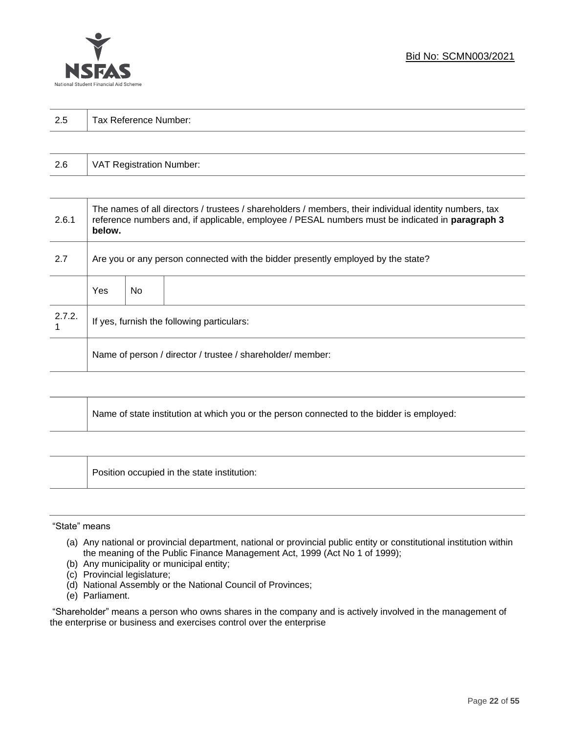

| 2.5 | Tax Reference Number: |
|-----|-----------------------|
|     |                       |

| 2.6 | VAT Registration Number: |
|-----|--------------------------|
|-----|--------------------------|

| 2.6.1  | The names of all directors / trustees / shareholders / members, their individual identity numbers, tax<br>reference numbers and, if applicable, employee / PESAL numbers must be indicated in paragraph 3<br>below. |     |  |  |
|--------|---------------------------------------------------------------------------------------------------------------------------------------------------------------------------------------------------------------------|-----|--|--|
| 2.7    | Are you or any person connected with the bidder presently employed by the state?                                                                                                                                    |     |  |  |
|        | Yes                                                                                                                                                                                                                 | No. |  |  |
| 2.7.2. | If yes, furnish the following particulars:                                                                                                                                                                          |     |  |  |
|        | Name of person / director / trustee / shareholder/ member:                                                                                                                                                          |     |  |  |

| Name of state institution at which you or the person connected to the bidder is employed: |
|-------------------------------------------------------------------------------------------|
|                                                                                           |

Position occupied in the state institution:

### "State" means

┱

- (a) Any national or provincial department, national or provincial public entity or constitutional institution within the meaning of the Public Finance Management Act, 1999 (Act No 1 of 1999);
- (b) Any municipality or municipal entity;
- (c) Provincial legislature;
- (d) National Assembly or the National Council of Provinces;
- (e) Parliament.

"Shareholder" means a person who owns shares in the company and is actively involved in the management of the enterprise or business and exercises control over the enterprise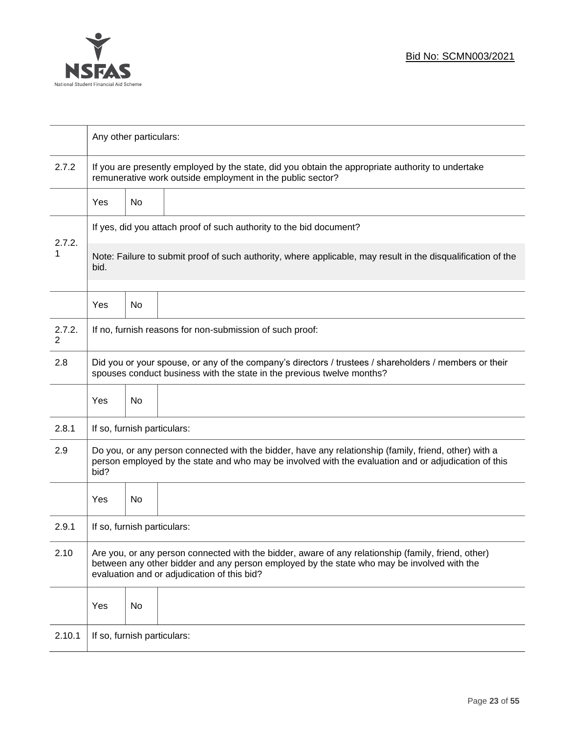

|             | Any other particulars:                                                                                                                                                                                                                           |    |                                                          |  |  |
|-------------|--------------------------------------------------------------------------------------------------------------------------------------------------------------------------------------------------------------------------------------------------|----|----------------------------------------------------------|--|--|
| 2.7.2       | If you are presently employed by the state, did you obtain the appropriate authority to undertake<br>remunerative work outside employment in the public sector?                                                                                  |    |                                                          |  |  |
|             | Yes                                                                                                                                                                                                                                              | No |                                                          |  |  |
|             | If yes, did you attach proof of such authority to the bid document?                                                                                                                                                                              |    |                                                          |  |  |
| 2.7.2.<br>1 | Note: Failure to submit proof of such authority, where applicable, may result in the disqualification of the<br>bid.                                                                                                                             |    |                                                          |  |  |
|             | Yes                                                                                                                                                                                                                                              | No |                                                          |  |  |
| 2.7.2.<br>2 |                                                                                                                                                                                                                                                  |    | If no, furnish reasons for non-submission of such proof: |  |  |
| 2.8         | Did you or your spouse, or any of the company's directors / trustees / shareholders / members or their<br>spouses conduct business with the state in the previous twelve months?                                                                 |    |                                                          |  |  |
|             | Yes                                                                                                                                                                                                                                              | No |                                                          |  |  |
| 2.8.1       | If so, furnish particulars:                                                                                                                                                                                                                      |    |                                                          |  |  |
| 2.9         | Do you, or any person connected with the bidder, have any relationship (family, friend, other) with a<br>person employed by the state and who may be involved with the evaluation and or adjudication of this<br>bid?                            |    |                                                          |  |  |
|             | Yes                                                                                                                                                                                                                                              | No |                                                          |  |  |
| 2.9.1       | If so, furnish particulars:                                                                                                                                                                                                                      |    |                                                          |  |  |
| 2.10        | Are you, or any person connected with the bidder, aware of any relationship (family, friend, other)<br>between any other bidder and any person employed by the state who may be involved with the<br>evaluation and or adjudication of this bid? |    |                                                          |  |  |
|             | Yes                                                                                                                                                                                                                                              | No |                                                          |  |  |
| 2.10.1      | If so, furnish particulars:                                                                                                                                                                                                                      |    |                                                          |  |  |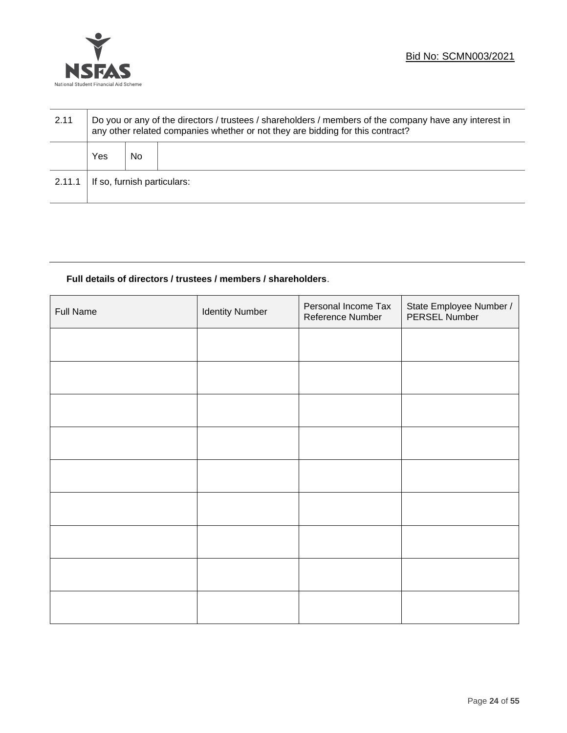

| 2.11   | Do you or any of the directors / trustees / shareholders / members of the company have any interest in<br>any other related companies whether or not they are bidding for this contract? |    |  |  |  |
|--------|------------------------------------------------------------------------------------------------------------------------------------------------------------------------------------------|----|--|--|--|
|        | Yes                                                                                                                                                                                      | No |  |  |  |
| 2.11.1 | If so, furnish particulars:                                                                                                                                                              |    |  |  |  |

### **Full details of directors / trustees / members / shareholders**.

| <b>Full Name</b> | <b>Identity Number</b> | Personal Income Tax<br>Reference Number | State Employee Number /<br>PERSEL Number |
|------------------|------------------------|-----------------------------------------|------------------------------------------|
|                  |                        |                                         |                                          |
|                  |                        |                                         |                                          |
|                  |                        |                                         |                                          |
|                  |                        |                                         |                                          |
|                  |                        |                                         |                                          |
|                  |                        |                                         |                                          |
|                  |                        |                                         |                                          |
|                  |                        |                                         |                                          |
|                  |                        |                                         |                                          |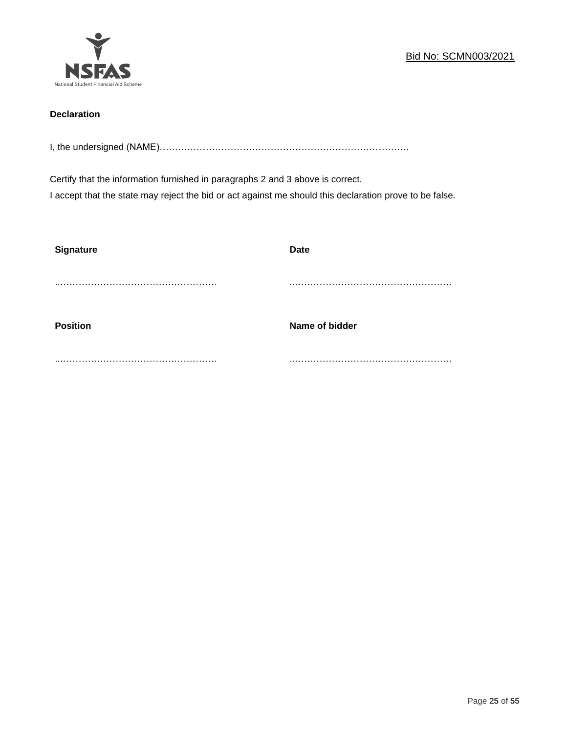

### **Declaration**

I, the undersigned (NAME)………………………………………………………………………

Certify that the information furnished in paragraphs 2 and 3 above is correct. I accept that the state may reject the bid or act against me should this declaration prove to be false.

| <b>Signature</b> | <b>Date</b>    |
|------------------|----------------|
|                  |                |
| <b>Position</b>  | Name of bidder |
|                  |                |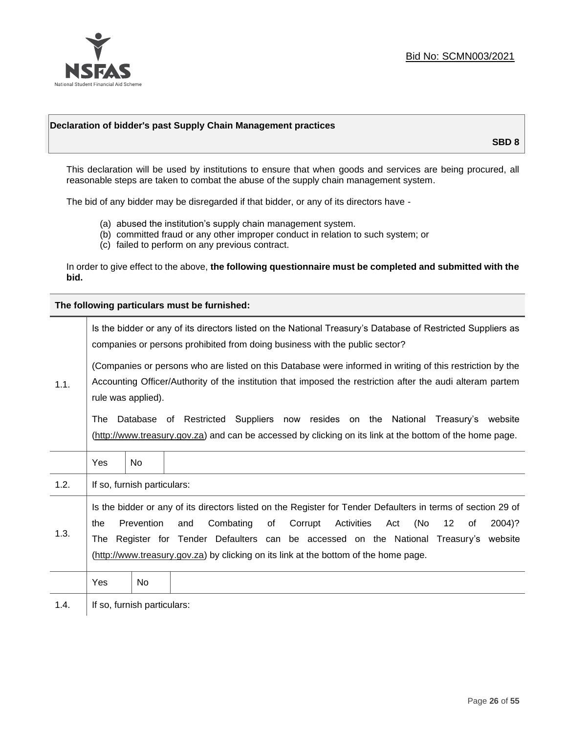

### **Declaration of bidder's past Supply Chain Management practices**

**SBD 8**

This declaration will be used by institutions to ensure that when goods and services are being procured, all reasonable steps are taken to combat the abuse of the supply chain management system.

The bid of any bidder may be disregarded if that bidder, or any of its directors have -

- (a) abused the institution's supply chain management system.
- (b) committed fraud or any other improper conduct in relation to such system; or
- (c) failed to perform on any previous contract.

In order to give effect to the above, **the following questionnaire must be completed and submitted with the bid.**

**The following particulars must be furnished:**

|      |                                                                                                                                                                                                                                                                                                                                                                                                                             |                             | Is the bidder or any of its directors listed on the National Treasury's Database of Restricted Suppliers as<br>companies or persons prohibited from doing business with the public sector?     |
|------|-----------------------------------------------------------------------------------------------------------------------------------------------------------------------------------------------------------------------------------------------------------------------------------------------------------------------------------------------------------------------------------------------------------------------------|-----------------------------|------------------------------------------------------------------------------------------------------------------------------------------------------------------------------------------------|
| 1.1. | (Companies or persons who are listed on this Database were informed in writing of this restriction by the<br>Accounting Officer/Authority of the institution that imposed the restriction after the audi alteram partem<br>rule was applied).                                                                                                                                                                               |                             |                                                                                                                                                                                                |
|      | The                                                                                                                                                                                                                                                                                                                                                                                                                         |                             | Database of Restricted Suppliers now resides on the National<br>Treasury's website<br>(http://www.treasury.gov.za) and can be accessed by clicking on its link at the bottom of the home page. |
|      | Yes                                                                                                                                                                                                                                                                                                                                                                                                                         | No.                         |                                                                                                                                                                                                |
| 1.2. |                                                                                                                                                                                                                                                                                                                                                                                                                             | If so, furnish particulars: |                                                                                                                                                                                                |
| 1.3. | Is the bidder or any of its directors listed on the Register for Tender Defaulters in terms of section 29 of<br>Prevention<br>Combating<br>Corrupt<br>Activities<br>(No<br>$12 \overline{ }$<br>and<br>of<br>of<br>2004)?<br>the<br>Act<br>Register for Tender Defaulters can be accessed on the National Treasury's website<br>The<br>(http://www.treasury.gov.za) by clicking on its link at the bottom of the home page. |                             |                                                                                                                                                                                                |
|      | Yes                                                                                                                                                                                                                                                                                                                                                                                                                         | No.                         |                                                                                                                                                                                                |
| 1.4. |                                                                                                                                                                                                                                                                                                                                                                                                                             | If so, furnish particulars: |                                                                                                                                                                                                |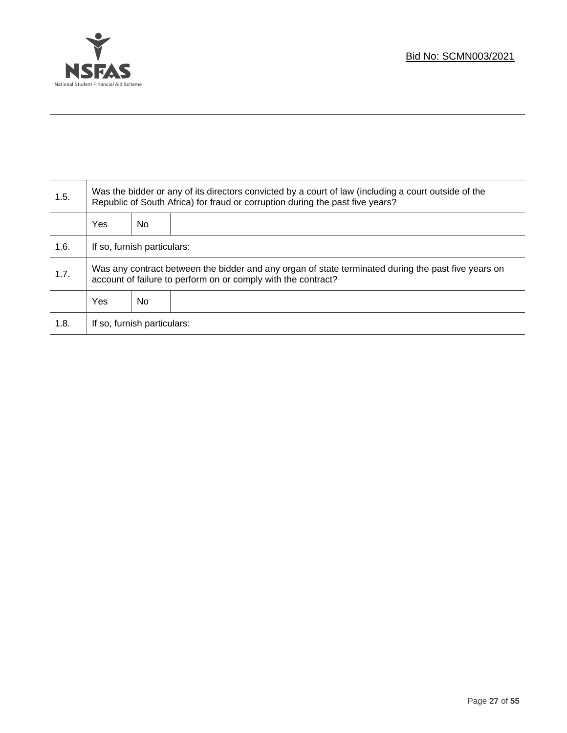

T

| 1.5. | Was the bidder or any of its directors convicted by a court of law (including a court outside of the<br>Republic of South Africa) for fraud or corruption during the past five years? |    |  |
|------|---------------------------------------------------------------------------------------------------------------------------------------------------------------------------------------|----|--|
|      | <b>Yes</b>                                                                                                                                                                            | No |  |
| 1.6. | If so, furnish particulars:                                                                                                                                                           |    |  |
| 1.7. | Was any contract between the bidder and any organ of state terminated during the past five years on<br>account of failure to perform on or comply with the contract?                  |    |  |
|      | <b>Yes</b>                                                                                                                                                                            | No |  |
| 1.8. | If so, furnish particulars:                                                                                                                                                           |    |  |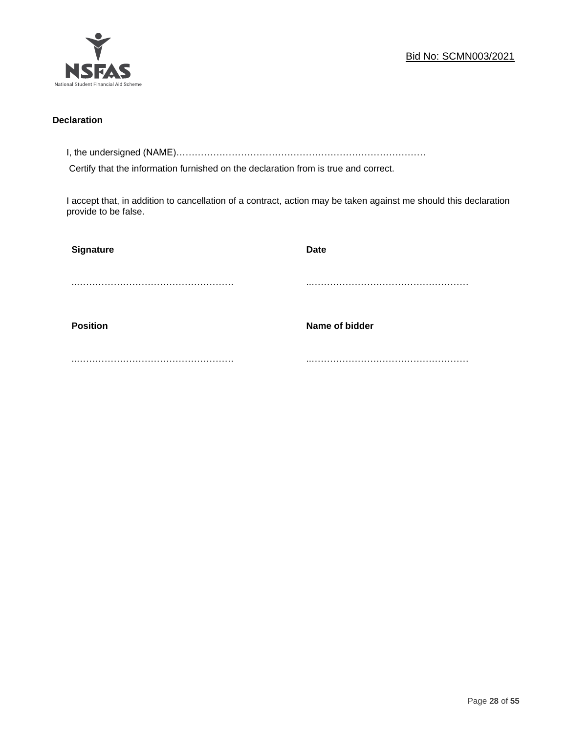

### **Declaration**

I, the undersigned (NAME)………………………………………………………………………

Certify that the information furnished on the declaration from is true and correct.

I accept that, in addition to cancellation of a contract, action may be taken against me should this declaration provide to be false.

| <b>Signature</b> | <b>Date</b>    |
|------------------|----------------|
|                  |                |
| <b>Position</b>  | Name of bidder |
|                  |                |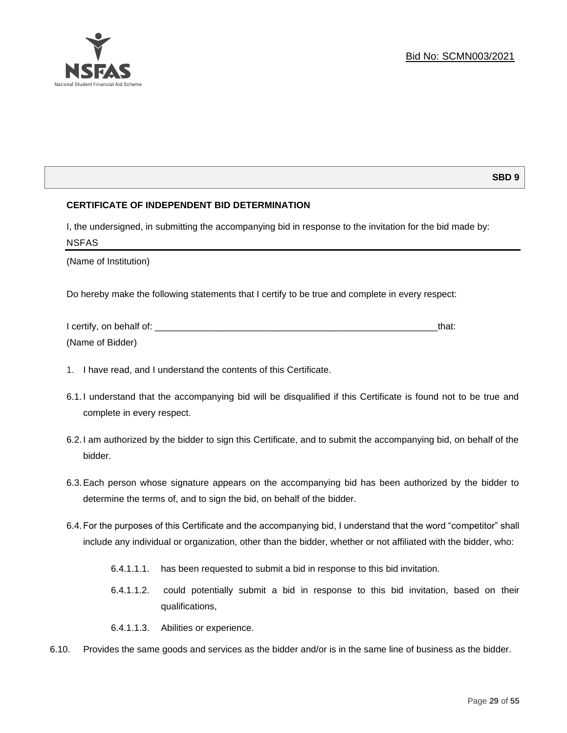

### **SBD 9**

### **CERTIFICATE OF INDEPENDENT BID DETERMINATION**

I, the undersigned, in submitting the accompanying bid in response to the invitation for the bid made by: NSFAS

(Name of Institution)

Do hereby make the following statements that I certify to be true and complete in every respect:

| I certify, on behalf of: |  |
|--------------------------|--|
| (Name of Bidder)         |  |

- 1. I have read, and I understand the contents of this Certificate.
- 6.1.I understand that the accompanying bid will be disqualified if this Certificate is found not to be true and complete in every respect.
- 6.2.I am authorized by the bidder to sign this Certificate, and to submit the accompanying bid, on behalf of the bidder.
- 6.3.Each person whose signature appears on the accompanying bid has been authorized by the bidder to determine the terms of, and to sign the bid, on behalf of the bidder.
- 6.4.For the purposes of this Certificate and the accompanying bid, I understand that the word "competitor" shall include any individual or organization, other than the bidder, whether or not affiliated with the bidder, who:
	- 6.4.1.1.1. has been requested to submit a bid in response to this bid invitation.
	- 6.4.1.1.2. could potentially submit a bid in response to this bid invitation, based on their qualifications,
	- 6.4.1.1.3. Abilities or experience.
- 6.10. Provides the same goods and services as the bidder and/or is in the same line of business as the bidder.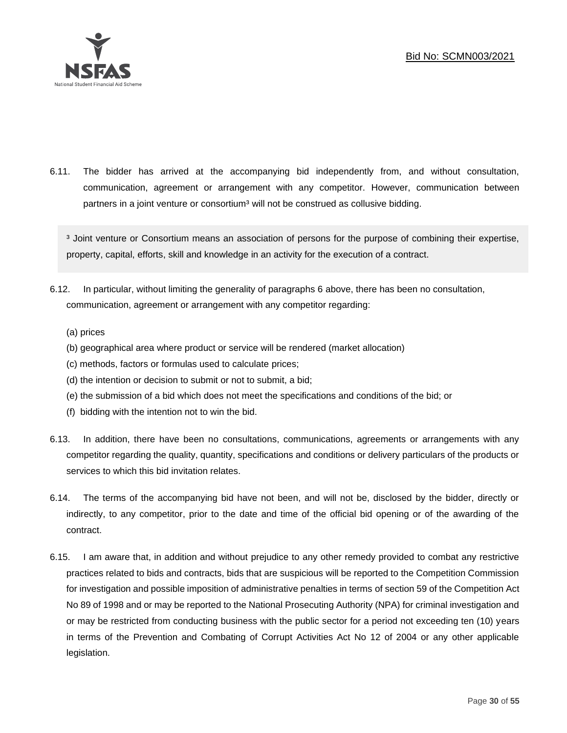

6.11. The bidder has arrived at the accompanying bid independently from, and without consultation, communication, agreement or arrangement with any competitor. However, communication between partners in a joint venture or consortium<sup>3</sup> will not be construed as collusive bidding.

<sup>3</sup> Joint venture or Consortium means an association of persons for the purpose of combining their expertise, property, capital, efforts, skill and knowledge in an activity for the execution of a contract.

- 6.12. In particular, without limiting the generality of paragraphs 6 above, there has been no consultation, communication, agreement or arrangement with any competitor regarding:
	- (a) prices
	- (b) geographical area where product or service will be rendered (market allocation)
	- (c) methods, factors or formulas used to calculate prices;
	- (d) the intention or decision to submit or not to submit, a bid;
	- (e) the submission of a bid which does not meet the specifications and conditions of the bid; or
	- (f) bidding with the intention not to win the bid.
- 6.13. In addition, there have been no consultations, communications, agreements or arrangements with any competitor regarding the quality, quantity, specifications and conditions or delivery particulars of the products or services to which this bid invitation relates.
- 6.14. The terms of the accompanying bid have not been, and will not be, disclosed by the bidder, directly or indirectly, to any competitor, prior to the date and time of the official bid opening or of the awarding of the contract.
- 6.15. I am aware that, in addition and without prejudice to any other remedy provided to combat any restrictive practices related to bids and contracts, bids that are suspicious will be reported to the Competition Commission for investigation and possible imposition of administrative penalties in terms of section 59 of the Competition Act No 89 of 1998 and or may be reported to the National Prosecuting Authority (NPA) for criminal investigation and or may be restricted from conducting business with the public sector for a period not exceeding ten (10) years in terms of the Prevention and Combating of Corrupt Activities Act No 12 of 2004 or any other applicable legislation.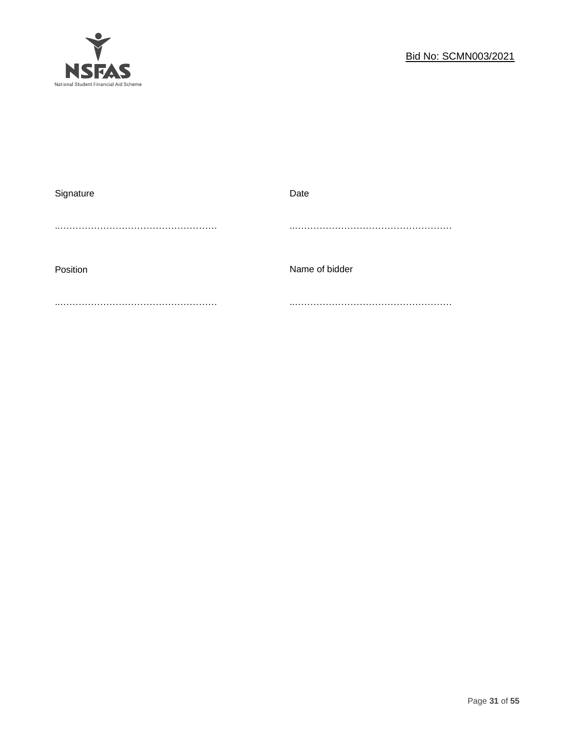

| Signature | Date           |
|-----------|----------------|
|           |                |
| Position  | Name of bidder |
|           |                |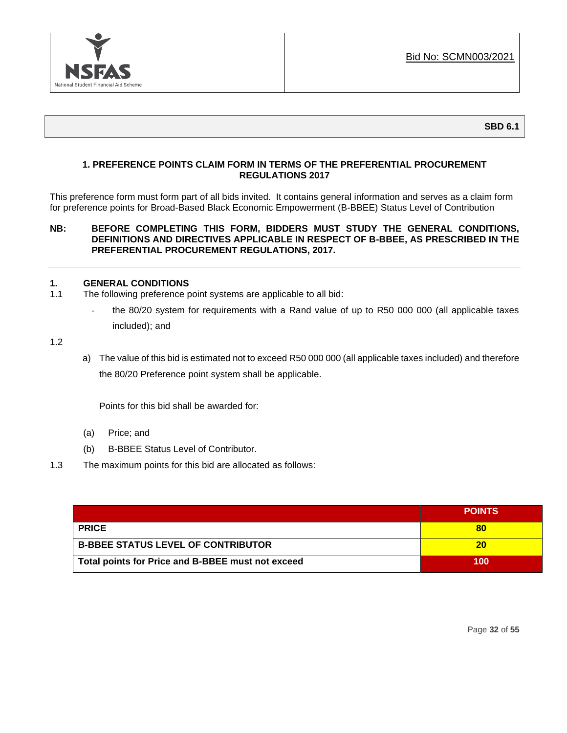

### **1. PREFERENCE POINTS CLAIM FORM IN TERMS OF THE PREFERENTIAL PROCUREMENT REGULATIONS 2017**

This preference form must form part of all bids invited. It contains general information and serves as a claim form for preference points for Broad-Based Black Economic Empowerment (B-BBEE) Status Level of Contribution

### **NB: BEFORE COMPLETING THIS FORM, BIDDERS MUST STUDY THE GENERAL CONDITIONS, DEFINITIONS AND DIRECTIVES APPLICABLE IN RESPECT OF B-BBEE, AS PRESCRIBED IN THE PREFERENTIAL PROCUREMENT REGULATIONS, 2017.**

### **1. GENERAL CONDITIONS**

- 1.1 The following preference point systems are applicable to all bid:
	- the 80/20 system for requirements with a Rand value of up to R50 000 000 (all applicable taxes included); and

1.2

a) The value of this bid is estimated not to exceed R50 000 000 (all applicable taxes included) and therefore the 80/20 Preference point system shall be applicable.

Points for this bid shall be awarded for:

- (a) Price; and
- (b) B-BBEE Status Level of Contributor.
- 1.3 The maximum points for this bid are allocated as follows:

|                                                   | <b>POINTS</b> |
|---------------------------------------------------|---------------|
| <b>PRICE</b>                                      | 80            |
| <b>B-BBEE STATUS LEVEL OF CONTRIBUTOR</b>         | 20            |
| Total points for Price and B-BBEE must not exceed | 100           |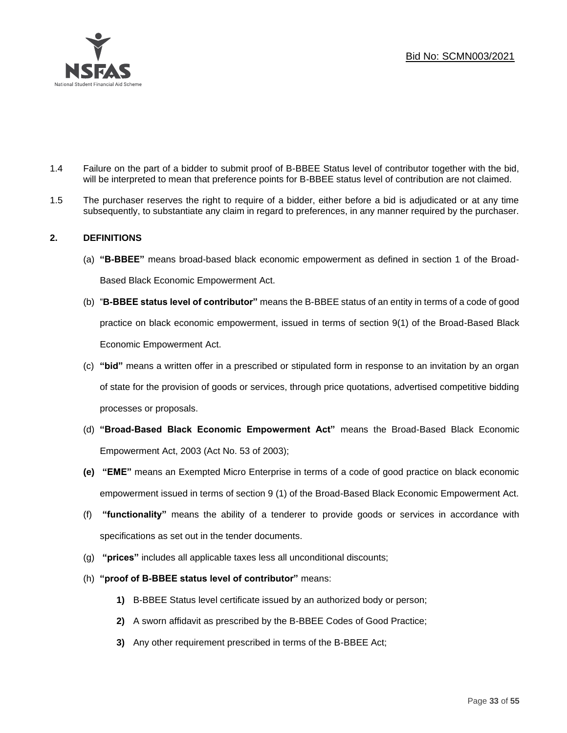

- 1.4 Failure on the part of a bidder to submit proof of B-BBEE Status level of contributor together with the bid, will be interpreted to mean that preference points for B-BBEE status level of contribution are not claimed.
- 1.5 The purchaser reserves the right to require of a bidder, either before a bid is adjudicated or at any time subsequently, to substantiate any claim in regard to preferences, in any manner required by the purchaser.

### **2. DEFINITIONS**

- (a) **"B-BBEE"** means broad-based black economic empowerment as defined in section 1 of the Broad-Based Black Economic Empowerment Act.
- (b) "**B-BBEE status level of contributor"** means the B-BBEE status of an entity in terms of a code of good practice on black economic empowerment, issued in terms of section 9(1) of the Broad-Based Black Economic Empowerment Act.
- (c) **"bid"** means a written offer in a prescribed or stipulated form in response to an invitation by an organ of state for the provision of goods or services, through price quotations, advertised competitive bidding processes or proposals.
- (d) **"Broad-Based Black Economic Empowerment Act"** means the Broad-Based Black Economic Empowerment Act, 2003 (Act No. 53 of 2003);
- **(e) "EME"** means an Exempted Micro Enterprise in terms of a code of good practice on black economic empowerment issued in terms of section 9 (1) of the Broad-Based Black Economic Empowerment Act.
- (f) **"functionality"** means the ability of a tenderer to provide goods or services in accordance with specifications as set out in the tender documents.
- (g) **"prices"** includes all applicable taxes less all unconditional discounts;
- (h) **"proof of B-BBEE status level of contributor"** means:
	- **1)** B-BBEE Status level certificate issued by an authorized body or person;
	- **2)** A sworn affidavit as prescribed by the B-BBEE Codes of Good Practice;
	- **3)** Any other requirement prescribed in terms of the B-BBEE Act;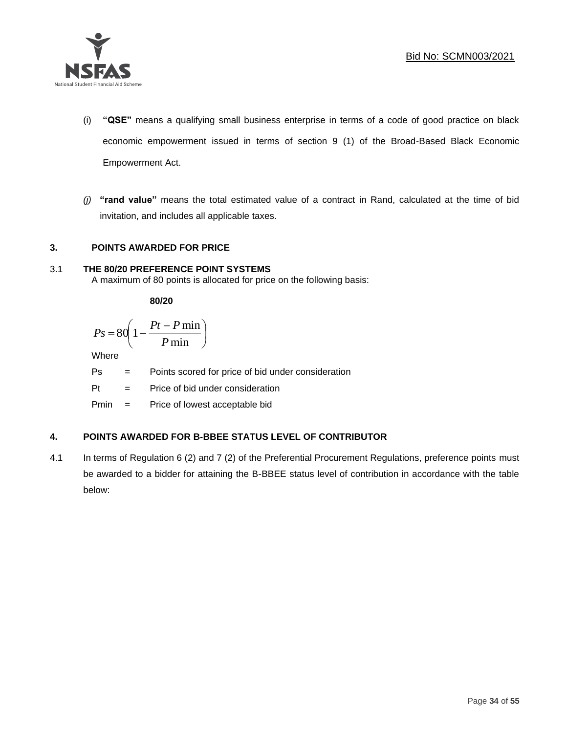

- (i) **"QSE"** means a qualifying small business enterprise in terms of a code of good practice on black economic empowerment issued in terms of section 9 (1) of the Broad-Based Black Economic Empowerment Act.
- *(j)* **"rand value"** means the total estimated value of a contract in Rand, calculated at the time of bid invitation, and includes all applicable taxes.

### **3. POINTS AWARDED FOR PRICE**

### 3.1 **THE 80/20 PREFERENCE POINT SYSTEMS**

A maximum of 80 points is allocated for price on the following basis:

**80/20**

$$
Ps = 80 \left( 1 - \frac{Pt - P \min}{P \min} \right)
$$

Where

Ps = Points scored for price of bid under consideration

l

Pt = Price of bid under consideration

Pmin = Price of lowest acceptable bid

### **4. POINTS AWARDED FOR B-BBEE STATUS LEVEL OF CONTRIBUTOR**

4.1 In terms of Regulation 6 (2) and 7 (2) of the Preferential Procurement Regulations, preference points must be awarded to a bidder for attaining the B-BBEE status level of contribution in accordance with the table below: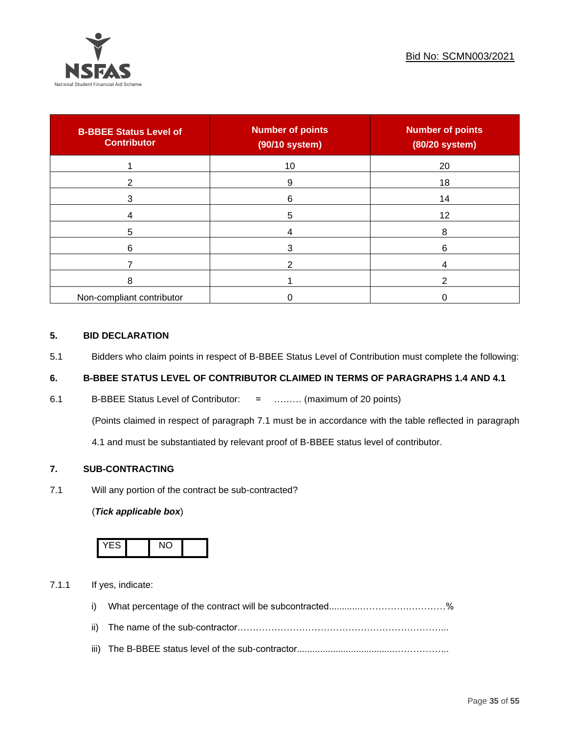

| <b>B-BBEE Status Level of</b><br><b>Contributor</b> | <b>Number of points</b><br>(90/10 system) | <b>Number of points</b><br>(80/20 system) |
|-----------------------------------------------------|-------------------------------------------|-------------------------------------------|
|                                                     | 10                                        | 20                                        |
| 2                                                   | 9                                         | 18                                        |
| 3                                                   | 6                                         | 14                                        |
|                                                     | 5                                         | 12                                        |
| 5                                                   |                                           | 8                                         |
| 6                                                   |                                           | 6                                         |
|                                                     |                                           |                                           |
| 8                                                   |                                           |                                           |
| Non-compliant contributor                           |                                           |                                           |

### **5. BID DECLARATION**

5.1 Bidders who claim points in respect of B-BBEE Status Level of Contribution must complete the following:

### **6. B-BBEE STATUS LEVEL OF CONTRIBUTOR CLAIMED IN TERMS OF PARAGRAPHS 1.4 AND 4.1**

6.1 B-BBEE Status Level of Contributor: = ……… (maximum of 20 points)

(Points claimed in respect of paragraph 7.1 must be in accordance with the table reflected in paragraph

4.1 and must be substantiated by relevant proof of B-BBEE status level of contributor.

### **7. SUB-CONTRACTING**

7.1 Will any portion of the contract be sub-contracted?

### (*Tick applicable box*)



7.1.1 If yes, indicate:

- i) What percentage of the contract will be subcontracted............…………….…………%
- ii) The name of the sub-contractor…………………………………………………………...
- iii) The B-BBEE status level of the sub-contractor......................................……………...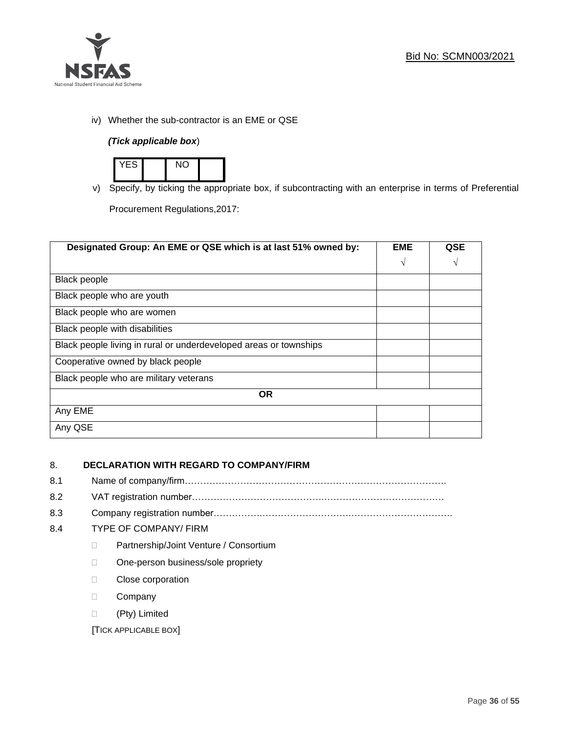

iv) Whether the sub-contractor is an EME or QSE

### *(Tick applicable box*)



v) Specify, by ticking the appropriate box, if subcontracting with an enterprise in terms of Preferential

Procurement Regulations,2017:

| Designated Group: An EME or QSE which is at last 51% owned by:    | <b>EME</b> | QSE |
|-------------------------------------------------------------------|------------|-----|
|                                                                   | $\sqrt{ }$ | V   |
| Black people                                                      |            |     |
| Black people who are youth                                        |            |     |
| Black people who are women                                        |            |     |
| Black people with disabilities                                    |            |     |
| Black people living in rural or underdeveloped areas or townships |            |     |
| Cooperative owned by black people                                 |            |     |
| Black people who are military veterans                            |            |     |
| <b>OR</b>                                                         |            |     |
| Any EME                                                           |            |     |
| Any QSE                                                           |            |     |

### 8. **DECLARATION WITH REGARD TO COMPANY/FIRM**

- 8.1 Name of company/firm………………………………………………………………………….
- 8.2 VAT registration number…………………………………….…………………………………
- 8.3 Company registration number…………….……………………….…………………………….

### 8.4 TYPE OF COMPANY/ FIRM

- D Partnership/Joint Venture / Consortium
- □ One-person business/sole propriety
- D Close corporation
- D Company
- (Pty) Limited

[TICK APPLICABLE BOX]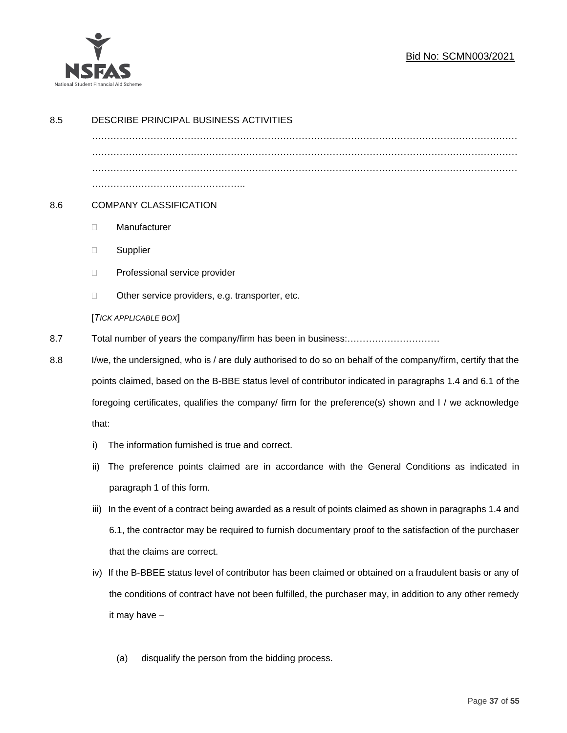

### Bid No: SCMN003/2021

| 8.5 | DESCRIBE PRINCIPAL BUSINESS ACTIVITIES                                                                                                                                                                              |                                                                                                        |  |  |
|-----|---------------------------------------------------------------------------------------------------------------------------------------------------------------------------------------------------------------------|--------------------------------------------------------------------------------------------------------|--|--|
|     |                                                                                                                                                                                                                     |                                                                                                        |  |  |
|     |                                                                                                                                                                                                                     |                                                                                                        |  |  |
|     |                                                                                                                                                                                                                     |                                                                                                        |  |  |
| 8.6 | <b>COMPANY CLASSIFICATION</b>                                                                                                                                                                                       |                                                                                                        |  |  |
|     | Manufacturer<br>$\Box$                                                                                                                                                                                              |                                                                                                        |  |  |
|     | Supplier<br>$\Box$                                                                                                                                                                                                  |                                                                                                        |  |  |
|     | Professional service provider<br>$\Box$                                                                                                                                                                             |                                                                                                        |  |  |
|     | Other service providers, e.g. transporter, etc.<br>$\Box$                                                                                                                                                           |                                                                                                        |  |  |
|     | [TICK APPLICABLE BOX]                                                                                                                                                                                               |                                                                                                        |  |  |
| 8.7 |                                                                                                                                                                                                                     |                                                                                                        |  |  |
| 8.8 | I/we, the undersigned, who is / are duly authorised to do so on behalf of the company/firm, certify that the                                                                                                        |                                                                                                        |  |  |
|     | points claimed, based on the B-BBE status level of contributor indicated in paragraphs 1.4 and 6.1 of the<br>foregoing certificates, qualifies the company/ firm for the preference(s) shown and I / we acknowledge |                                                                                                        |  |  |
|     |                                                                                                                                                                                                                     |                                                                                                        |  |  |
|     | that:                                                                                                                                                                                                               |                                                                                                        |  |  |
|     | The information furnished is true and correct.<br>i)                                                                                                                                                                |                                                                                                        |  |  |
|     | ii)                                                                                                                                                                                                                 | The preference points claimed are in accordance with the General Conditions as indicated in            |  |  |
|     | paragraph 1 of this form.                                                                                                                                                                                           |                                                                                                        |  |  |
|     | iii)                                                                                                                                                                                                                | In the event of a contract being awarded as a result of points claimed as shown in paragraphs 1.4 and  |  |  |
|     |                                                                                                                                                                                                                     | 6.1, the contractor may be required to furnish documentary proof to the satisfaction of the purchaser  |  |  |
|     | that the claims are correct.                                                                                                                                                                                        |                                                                                                        |  |  |
|     | iv) If the B-BBEE status level of contributor has been claimed or obtained on a fraudulent basis or any of                                                                                                          |                                                                                                        |  |  |
|     |                                                                                                                                                                                                                     | the conditions of contract have not been fulfilled, the purchaser may, in addition to any other remedy |  |  |
|     | it may have -                                                                                                                                                                                                       |                                                                                                        |  |  |
|     |                                                                                                                                                                                                                     |                                                                                                        |  |  |
|     | disqualify the person from the bidding process.<br>(a)                                                                                                                                                              |                                                                                                        |  |  |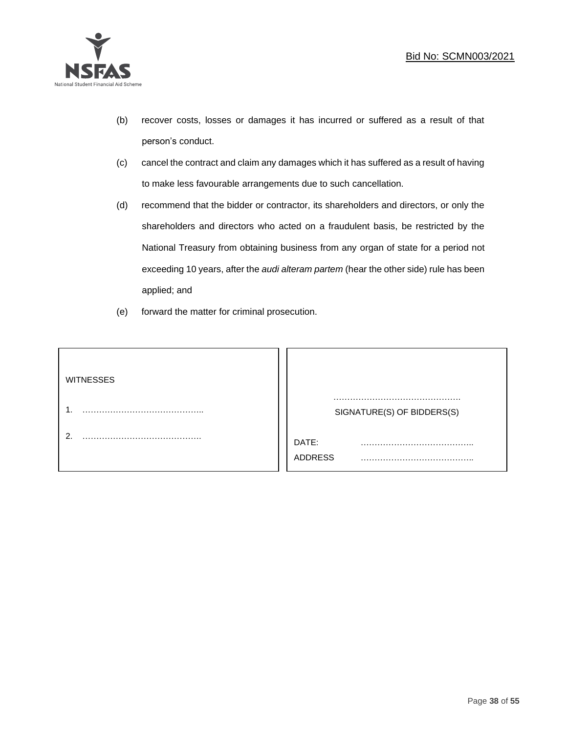

- (b) recover costs, losses or damages it has incurred or suffered as a result of that person's conduct.
- (c) cancel the contract and claim any damages which it has suffered as a result of having to make less favourable arrangements due to such cancellation.
- (d) recommend that the bidder or contractor, its shareholders and directors, or only the shareholders and directors who acted on a fraudulent basis, be restricted by the National Treasury from obtaining business from any organ of state for a period not exceeding 10 years, after the *audi alteram partem* (hear the other side) rule has been applied; and
- (e) forward the matter for criminal prosecution.

| <b>WITNESSES</b> |                              |
|------------------|------------------------------|
|                  | SIGNATURE(S) OF BIDDERS(S)   |
|                  | DATE:<br>.<br><b>ADDRESS</b> |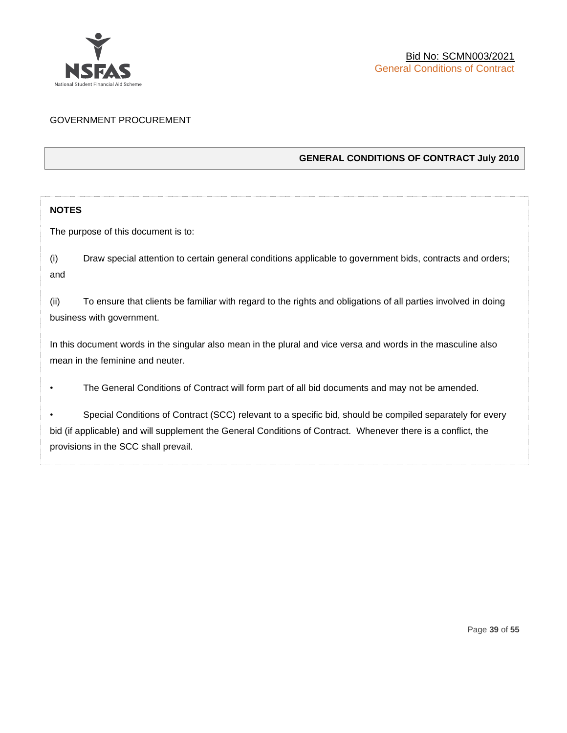

### GOVERNMENT PROCUREMENT

### **GENERAL CONDITIONS OF CONTRACT July 2010**

### **NOTES**

The purpose of this document is to:

(i) Draw special attention to certain general conditions applicable to government bids, contracts and orders; and

(ii) To ensure that clients be familiar with regard to the rights and obligations of all parties involved in doing business with government.

In this document words in the singular also mean in the plural and vice versa and words in the masculine also mean in the feminine and neuter.

• The General Conditions of Contract will form part of all bid documents and may not be amended.

Special Conditions of Contract (SCC) relevant to a specific bid, should be compiled separately for every bid (if applicable) and will supplement the General Conditions of Contract. Whenever there is a conflict, the provisions in the SCC shall prevail.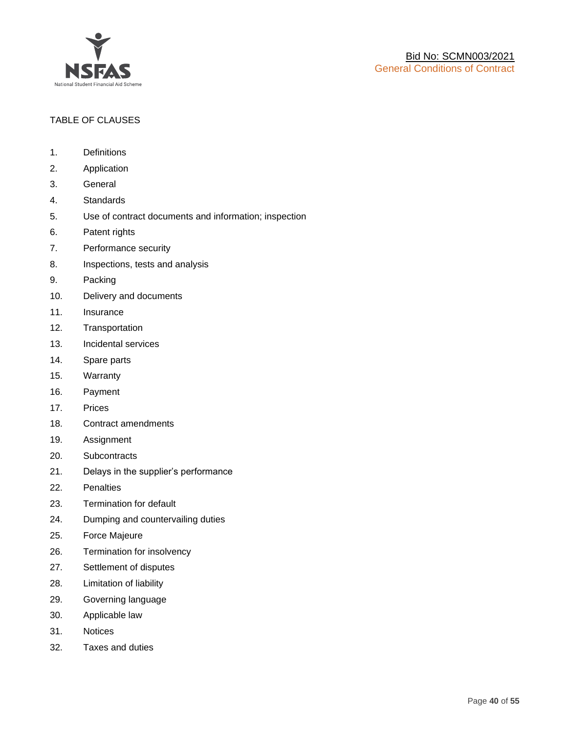

### TABLE OF CLAUSES

- 1. Definitions
- 2. Application
- 3. General
- 4. Standards
- 5. Use of contract documents and information; inspection
- 6. Patent rights
- 7. Performance security
- 8. Inspections, tests and analysis
- 9. Packing
- 10. Delivery and documents
- 11. Insurance
- 12. Transportation
- 13. Incidental services
- 14. Spare parts
- 15. Warranty
- 16. Payment
- 17. Prices
- 18. Contract amendments
- 19. Assignment
- 20. Subcontracts
- 21. Delays in the supplier's performance
- 22. Penalties
- 23. Termination for default
- 24. Dumping and countervailing duties
- 25. Force Majeure
- 26. Termination for insolvency
- 27. Settlement of disputes
- 28. Limitation of liability
- 29. Governing language
- 30. Applicable law
- 31. Notices
- 32. Taxes and duties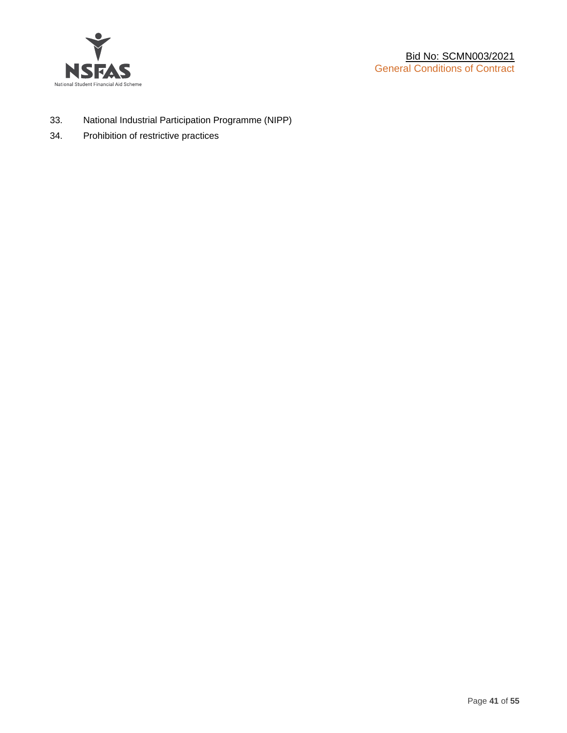

- 33. National Industrial Participation Programme (NIPP)
- 34. Prohibition of restrictive practices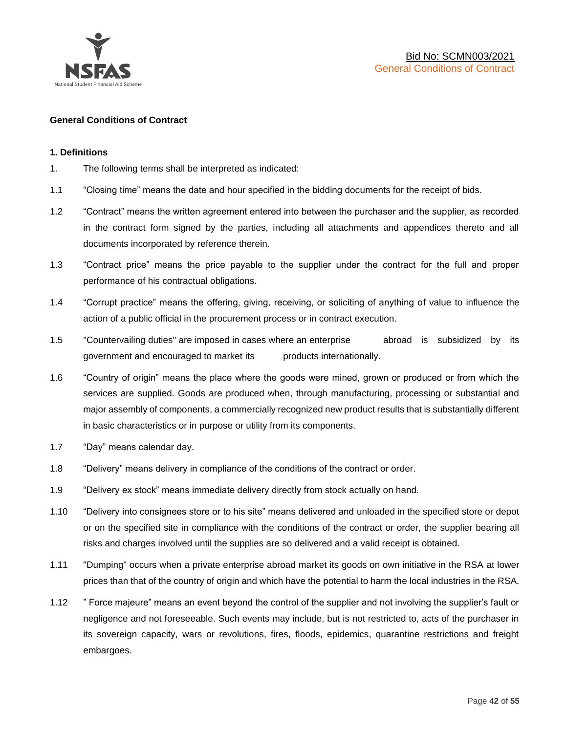

### **General Conditions of Contract**

### **1. Definitions**

- 1. The following terms shall be interpreted as indicated:
- 1.1 "Closing time" means the date and hour specified in the bidding documents for the receipt of bids.
- 1.2 "Contract" means the written agreement entered into between the purchaser and the supplier, as recorded in the contract form signed by the parties, including all attachments and appendices thereto and all documents incorporated by reference therein.
- 1.3 "Contract price" means the price payable to the supplier under the contract for the full and proper performance of his contractual obligations.
- 1.4 "Corrupt practice" means the offering, giving, receiving, or soliciting of anything of value to influence the action of a public official in the procurement process or in contract execution.
- 1.5 "Countervailing duties" are imposed in cases where an enterprise abroad is subsidized by its government and encouraged to market its products internationally.
- 1.6 "Country of origin" means the place where the goods were mined, grown or produced or from which the services are supplied. Goods are produced when, through manufacturing, processing or substantial and major assembly of components, a commercially recognized new product results that is substantially different in basic characteristics or in purpose or utility from its components.
- 1.7 "Day" means calendar day.
- 1.8 "Delivery" means delivery in compliance of the conditions of the contract or order.
- 1.9 "Delivery ex stock" means immediate delivery directly from stock actually on hand.
- 1.10 "Delivery into consignees store or to his site" means delivered and unloaded in the specified store or depot or on the specified site in compliance with the conditions of the contract or order, the supplier bearing all risks and charges involved until the supplies are so delivered and a valid receipt is obtained.
- 1.11 "Dumping" occurs when a private enterprise abroad market its goods on own initiative in the RSA at lower prices than that of the country of origin and which have the potential to harm the local industries in the RSA.
- 1.12 " Force majeure" means an event beyond the control of the supplier and not involving the supplier's fault or negligence and not foreseeable. Such events may include, but is not restricted to, acts of the purchaser in its sovereign capacity, wars or revolutions, fires, floods, epidemics, quarantine restrictions and freight embargoes.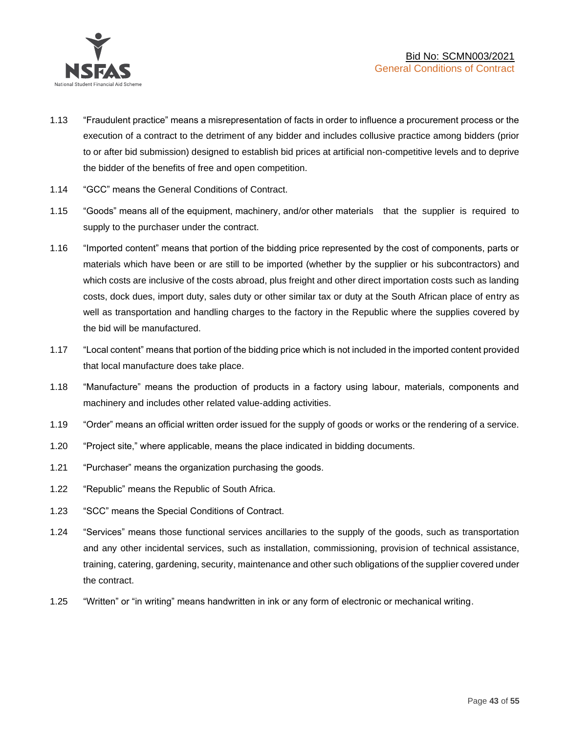

- 1.13 "Fraudulent practice" means a misrepresentation of facts in order to influence a procurement process or the execution of a contract to the detriment of any bidder and includes collusive practice among bidders (prior to or after bid submission) designed to establish bid prices at artificial non-competitive levels and to deprive the bidder of the benefits of free and open competition.
- 1.14 "GCC" means the General Conditions of Contract.
- 1.15 "Goods" means all of the equipment, machinery, and/or other materials that the supplier is required to supply to the purchaser under the contract.
- 1.16 "Imported content" means that portion of the bidding price represented by the cost of components, parts or materials which have been or are still to be imported (whether by the supplier or his subcontractors) and which costs are inclusive of the costs abroad, plus freight and other direct importation costs such as landing costs, dock dues, import duty, sales duty or other similar tax or duty at the South African place of entry as well as transportation and handling charges to the factory in the Republic where the supplies covered by the bid will be manufactured.
- 1.17 "Local content" means that portion of the bidding price which is not included in the imported content provided that local manufacture does take place.
- 1.18 "Manufacture" means the production of products in a factory using labour, materials, components and machinery and includes other related value-adding activities.
- 1.19 "Order" means an official written order issued for the supply of goods or works or the rendering of a service.
- 1.20 "Project site," where applicable, means the place indicated in bidding documents.
- 1.21 "Purchaser" means the organization purchasing the goods.
- 1.22 "Republic" means the Republic of South Africa.
- 1.23 "SCC" means the Special Conditions of Contract.
- 1.24 "Services" means those functional services ancillaries to the supply of the goods, such as transportation and any other incidental services, such as installation, commissioning, provision of technical assistance, training, catering, gardening, security, maintenance and other such obligations of the supplier covered under the contract.
- 1.25 "Written" or "in writing" means handwritten in ink or any form of electronic or mechanical writing.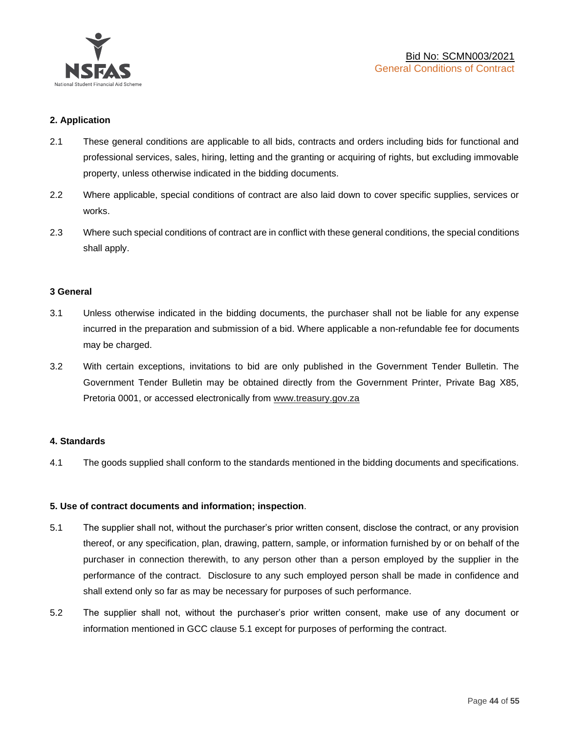

### **2. Application**

- 2.1 These general conditions are applicable to all bids, contracts and orders including bids for functional and professional services, sales, hiring, letting and the granting or acquiring of rights, but excluding immovable property, unless otherwise indicated in the bidding documents.
- 2.2 Where applicable, special conditions of contract are also laid down to cover specific supplies, services or works.
- 2.3 Where such special conditions of contract are in conflict with these general conditions, the special conditions shall apply.

### **3 General**

- 3.1 Unless otherwise indicated in the bidding documents, the purchaser shall not be liable for any expense incurred in the preparation and submission of a bid. Where applicable a non-refundable fee for documents may be charged.
- 3.2 With certain exceptions, invitations to bid are only published in the Government Tender Bulletin. The Government Tender Bulletin may be obtained directly from the Government Printer, Private Bag X85, Pretoria 0001, or accessed electronically from [www.treasury.gov.za](http://www.treasury.gov.za/)

### **4. Standards**

4.1 The goods supplied shall conform to the standards mentioned in the bidding documents and specifications.

### **5. Use of contract documents and information; inspection**.

- 5.1 The supplier shall not, without the purchaser's prior written consent, disclose the contract, or any provision thereof, or any specification, plan, drawing, pattern, sample, or information furnished by or on behalf of the purchaser in connection therewith, to any person other than a person employed by the supplier in the performance of the contract. Disclosure to any such employed person shall be made in confidence and shall extend only so far as may be necessary for purposes of such performance.
- 5.2 The supplier shall not, without the purchaser's prior written consent, make use of any document or information mentioned in GCC clause 5.1 except for purposes of performing the contract.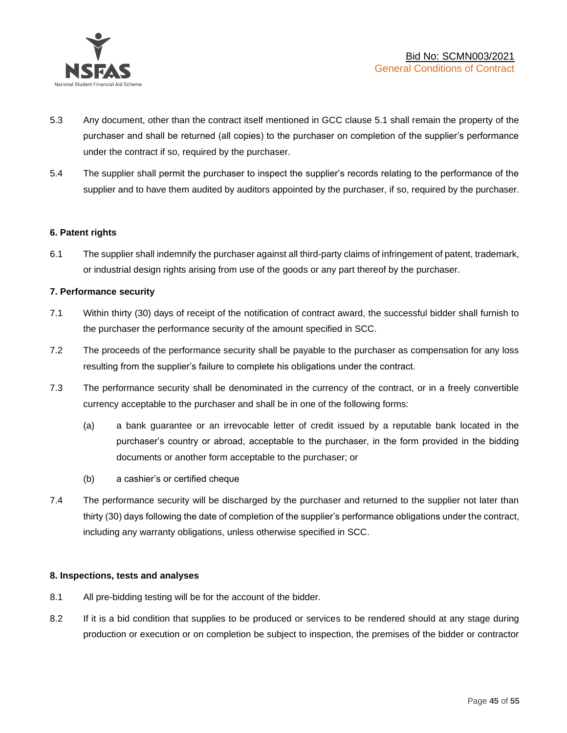

- 5.3 Any document, other than the contract itself mentioned in GCC clause 5.1 shall remain the property of the purchaser and shall be returned (all copies) to the purchaser on completion of the supplier's performance under the contract if so, required by the purchaser.
- 5.4 The supplier shall permit the purchaser to inspect the supplier's records relating to the performance of the supplier and to have them audited by auditors appointed by the purchaser, if so, required by the purchaser.

### **6. Patent rights**

6.1 The supplier shall indemnify the purchaser against all third-party claims of infringement of patent, trademark, or industrial design rights arising from use of the goods or any part thereof by the purchaser.

### **7. Performance security**

- 7.1 Within thirty (30) days of receipt of the notification of contract award, the successful bidder shall furnish to the purchaser the performance security of the amount specified in SCC.
- 7.2 The proceeds of the performance security shall be payable to the purchaser as compensation for any loss resulting from the supplier's failure to complete his obligations under the contract.
- 7.3 The performance security shall be denominated in the currency of the contract, or in a freely convertible currency acceptable to the purchaser and shall be in one of the following forms:
	- (a) a bank guarantee or an irrevocable letter of credit issued by a reputable bank located in the purchaser's country or abroad, acceptable to the purchaser, in the form provided in the bidding documents or another form acceptable to the purchaser; or
	- (b) a cashier's or certified cheque
- 7.4 The performance security will be discharged by the purchaser and returned to the supplier not later than thirty (30) days following the date of completion of the supplier's performance obligations under the contract, including any warranty obligations, unless otherwise specified in SCC.

### **8. Inspections, tests and analyses**

- 8.1 All pre-bidding testing will be for the account of the bidder.
- 8.2 If it is a bid condition that supplies to be produced or services to be rendered should at any stage during production or execution or on completion be subject to inspection, the premises of the bidder or contractor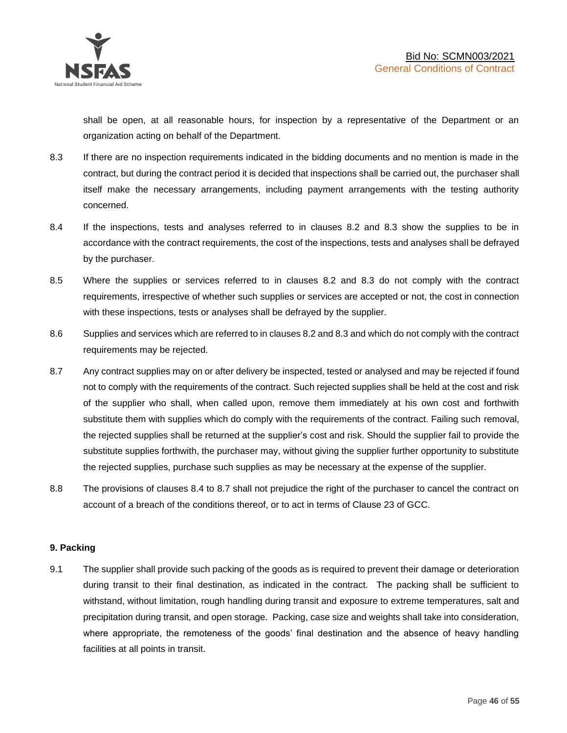shall be open, at all reasonable hours, for inspection by a representative of the Department or an organization acting on behalf of the Department.

- 8.3 If there are no inspection requirements indicated in the bidding documents and no mention is made in the contract, but during the contract period it is decided that inspections shall be carried out, the purchaser shall itself make the necessary arrangements, including payment arrangements with the testing authority concerned.
- 8.4 If the inspections, tests and analyses referred to in clauses 8.2 and 8.3 show the supplies to be in accordance with the contract requirements, the cost of the inspections, tests and analyses shall be defrayed by the purchaser.
- 8.5 Where the supplies or services referred to in clauses 8.2 and 8.3 do not comply with the contract requirements, irrespective of whether such supplies or services are accepted or not, the cost in connection with these inspections, tests or analyses shall be defrayed by the supplier.
- 8.6 Supplies and services which are referred to in clauses 8.2 and 8.3 and which do not comply with the contract requirements may be rejected.
- 8.7 Any contract supplies may on or after delivery be inspected, tested or analysed and may be rejected if found not to comply with the requirements of the contract. Such rejected supplies shall be held at the cost and risk of the supplier who shall, when called upon, remove them immediately at his own cost and forthwith substitute them with supplies which do comply with the requirements of the contract. Failing such removal, the rejected supplies shall be returned at the supplier's cost and risk. Should the supplier fail to provide the substitute supplies forthwith, the purchaser may, without giving the supplier further opportunity to substitute the rejected supplies, purchase such supplies as may be necessary at the expense of the supplier.
- 8.8 The provisions of clauses 8.4 to 8.7 shall not prejudice the right of the purchaser to cancel the contract on account of a breach of the conditions thereof, or to act in terms of Clause 23 of GCC.

### **9. Packing**

9.1 The supplier shall provide such packing of the goods as is required to prevent their damage or deterioration during transit to their final destination, as indicated in the contract. The packing shall be sufficient to withstand, without limitation, rough handling during transit and exposure to extreme temperatures, salt and precipitation during transit, and open storage. Packing, case size and weights shall take into consideration, where appropriate, the remoteness of the goods' final destination and the absence of heavy handling facilities at all points in transit.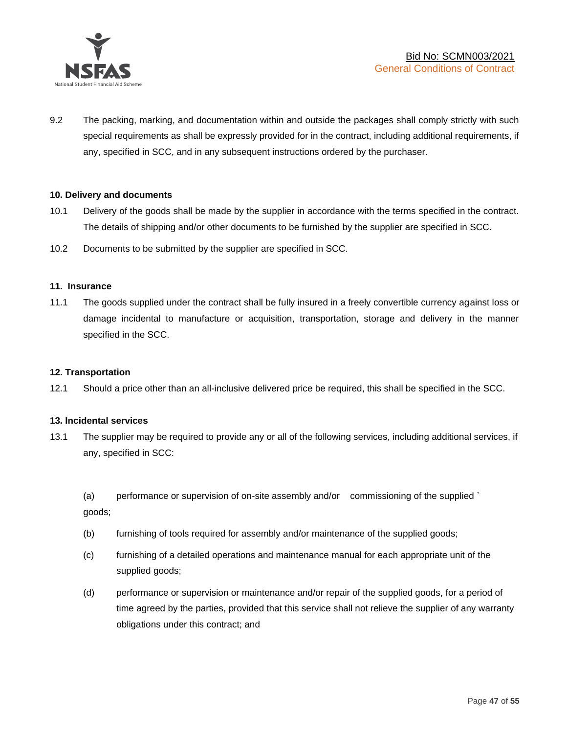

9.2 The packing, marking, and documentation within and outside the packages shall comply strictly with such special requirements as shall be expressly provided for in the contract, including additional requirements, if any, specified in SCC, and in any subsequent instructions ordered by the purchaser.

### **10. Delivery and documents**

- 10.1 Delivery of the goods shall be made by the supplier in accordance with the terms specified in the contract. The details of shipping and/or other documents to be furnished by the supplier are specified in SCC.
- 10.2 Documents to be submitted by the supplier are specified in SCC.

#### **11. Insurance**

11.1 The goods supplied under the contract shall be fully insured in a freely convertible currency against loss or damage incidental to manufacture or acquisition, transportation, storage and delivery in the manner specified in the SCC.

### **12. Transportation**

12.1 Should a price other than an all-inclusive delivered price be required, this shall be specified in the SCC.

#### **13. Incidental services**

13.1 The supplier may be required to provide any or all of the following services, including additional services, if any, specified in SCC:

(a) performance or supervision of on-site assembly and/or commissioning of the supplied ` goods;

- (b) furnishing of tools required for assembly and/or maintenance of the supplied goods;
- (c) furnishing of a detailed operations and maintenance manual for each appropriate unit of the supplied goods;
- (d) performance or supervision or maintenance and/or repair of the supplied goods, for a period of time agreed by the parties, provided that this service shall not relieve the supplier of any warranty obligations under this contract; and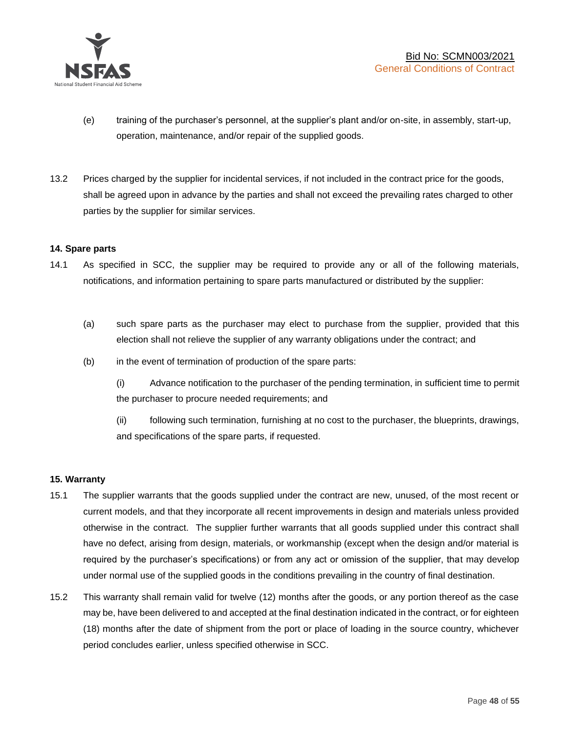

- (e) training of the purchaser's personnel, at the supplier's plant and/or on-site, in assembly, start-up, operation, maintenance, and/or repair of the supplied goods.
- 13.2 Prices charged by the supplier for incidental services, if not included in the contract price for the goods, shall be agreed upon in advance by the parties and shall not exceed the prevailing rates charged to other parties by the supplier for similar services.

### **14. Spare parts**

- 14.1 As specified in SCC, the supplier may be required to provide any or all of the following materials, notifications, and information pertaining to spare parts manufactured or distributed by the supplier:
	- (a) such spare parts as the purchaser may elect to purchase from the supplier, provided that this election shall not relieve the supplier of any warranty obligations under the contract; and
	- (b) in the event of termination of production of the spare parts:

(i) Advance notification to the purchaser of the pending termination, in sufficient time to permit the purchaser to procure needed requirements; and

(ii) following such termination, furnishing at no cost to the purchaser, the blueprints, drawings, and specifications of the spare parts, if requested.

### **15. Warranty**

- 15.1 The supplier warrants that the goods supplied under the contract are new, unused, of the most recent or current models, and that they incorporate all recent improvements in design and materials unless provided otherwise in the contract. The supplier further warrants that all goods supplied under this contract shall have no defect, arising from design, materials, or workmanship (except when the design and/or material is required by the purchaser's specifications) or from any act or omission of the supplier, that may develop under normal use of the supplied goods in the conditions prevailing in the country of final destination.
- 15.2 This warranty shall remain valid for twelve (12) months after the goods, or any portion thereof as the case may be, have been delivered to and accepted at the final destination indicated in the contract, or for eighteen (18) months after the date of shipment from the port or place of loading in the source country, whichever period concludes earlier, unless specified otherwise in SCC.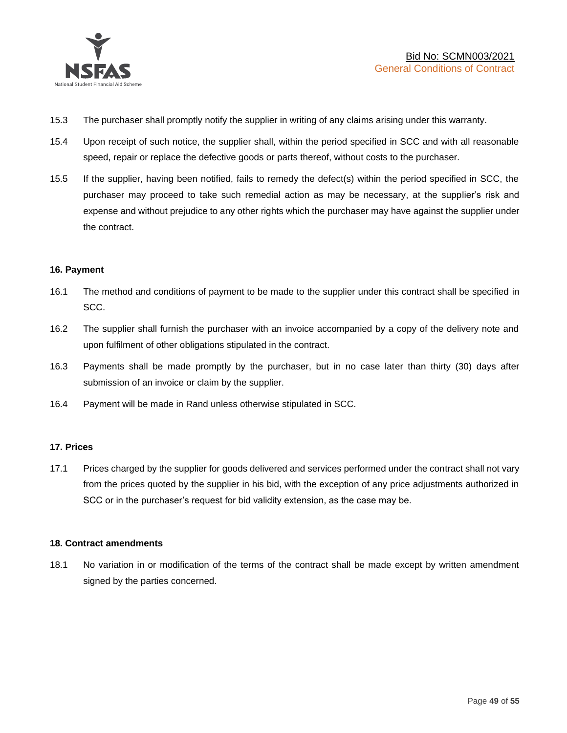

- 15.3 The purchaser shall promptly notify the supplier in writing of any claims arising under this warranty.
- 15.4 Upon receipt of such notice, the supplier shall, within the period specified in SCC and with all reasonable speed, repair or replace the defective goods or parts thereof, without costs to the purchaser.
- 15.5 If the supplier, having been notified, fails to remedy the defect(s) within the period specified in SCC, the purchaser may proceed to take such remedial action as may be necessary, at the supplier's risk and expense and without prejudice to any other rights which the purchaser may have against the supplier under the contract.

### **16. Payment**

- 16.1 The method and conditions of payment to be made to the supplier under this contract shall be specified in SCC.
- 16.2 The supplier shall furnish the purchaser with an invoice accompanied by a copy of the delivery note and upon fulfilment of other obligations stipulated in the contract.
- 16.3 Payments shall be made promptly by the purchaser, but in no case later than thirty (30) days after submission of an invoice or claim by the supplier.
- 16.4 Payment will be made in Rand unless otherwise stipulated in SCC.

### **17. Prices**

17.1 Prices charged by the supplier for goods delivered and services performed under the contract shall not vary from the prices quoted by the supplier in his bid, with the exception of any price adjustments authorized in SCC or in the purchaser's request for bid validity extension, as the case may be.

### **18. Contract amendments**

18.1 No variation in or modification of the terms of the contract shall be made except by written amendment signed by the parties concerned.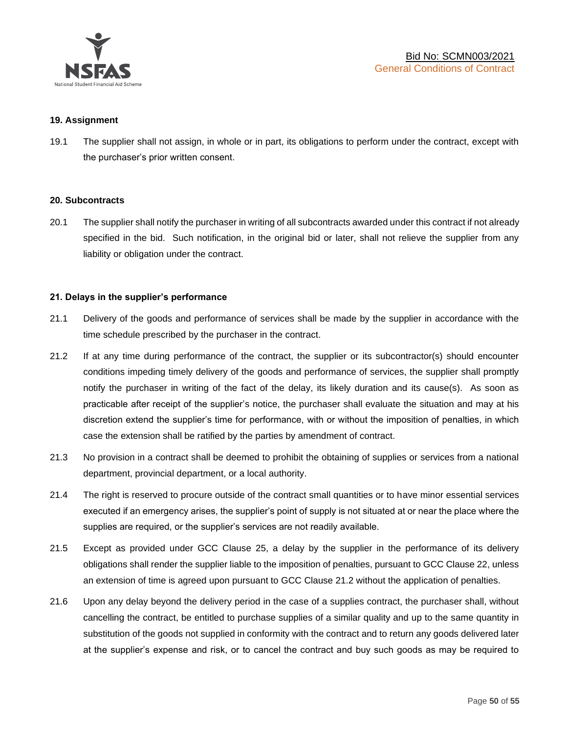

### **19. Assignment**

19.1 The supplier shall not assign, in whole or in part, its obligations to perform under the contract, except with the purchaser's prior written consent.

#### **20. Subcontracts**

20.1 The supplier shall notify the purchaser in writing of all subcontracts awarded under this contract if not already specified in the bid. Such notification, in the original bid or later, shall not relieve the supplier from any liability or obligation under the contract.

### **21. Delays in the supplier's performance**

- 21.1 Delivery of the goods and performance of services shall be made by the supplier in accordance with the time schedule prescribed by the purchaser in the contract.
- 21.2 If at any time during performance of the contract, the supplier or its subcontractor(s) should encounter conditions impeding timely delivery of the goods and performance of services, the supplier shall promptly notify the purchaser in writing of the fact of the delay, its likely duration and its cause(s). As soon as practicable after receipt of the supplier's notice, the purchaser shall evaluate the situation and may at his discretion extend the supplier's time for performance, with or without the imposition of penalties, in which case the extension shall be ratified by the parties by amendment of contract.
- 21.3 No provision in a contract shall be deemed to prohibit the obtaining of supplies or services from a national department, provincial department, or a local authority.
- 21.4 The right is reserved to procure outside of the contract small quantities or to have minor essential services executed if an emergency arises, the supplier's point of supply is not situated at or near the place where the supplies are required, or the supplier's services are not readily available.
- 21.5 Except as provided under GCC Clause 25, a delay by the supplier in the performance of its delivery obligations shall render the supplier liable to the imposition of penalties, pursuant to GCC Clause 22, unless an extension of time is agreed upon pursuant to GCC Clause 21.2 without the application of penalties.
- 21.6 Upon any delay beyond the delivery period in the case of a supplies contract, the purchaser shall, without cancelling the contract, be entitled to purchase supplies of a similar quality and up to the same quantity in substitution of the goods not supplied in conformity with the contract and to return any goods delivered later at the supplier's expense and risk, or to cancel the contract and buy such goods as may be required to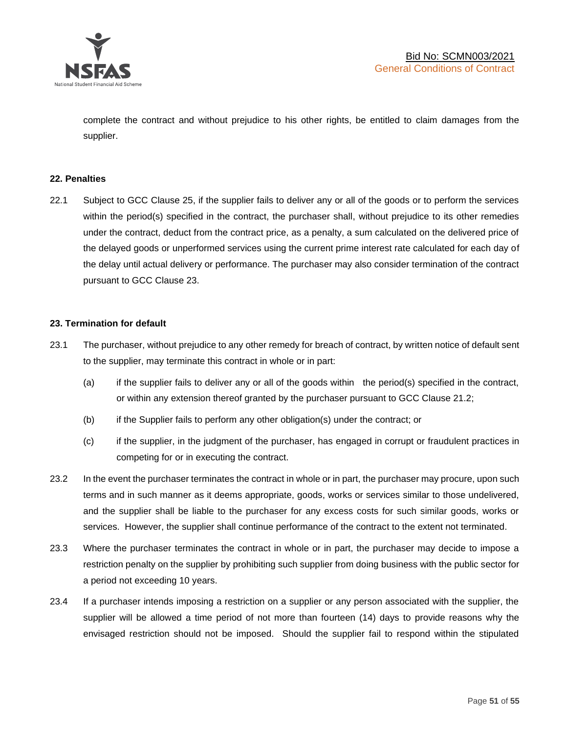

complete the contract and without prejudice to his other rights, be entitled to claim damages from the supplier.

### **22. Penalties**

22.1 Subject to GCC Clause 25, if the supplier fails to deliver any or all of the goods or to perform the services within the period(s) specified in the contract, the purchaser shall, without prejudice to its other remedies under the contract, deduct from the contract price, as a penalty, a sum calculated on the delivered price of the delayed goods or unperformed services using the current prime interest rate calculated for each day of the delay until actual delivery or performance. The purchaser may also consider termination of the contract pursuant to GCC Clause 23.

### **23. Termination for default**

- 23.1 The purchaser, without prejudice to any other remedy for breach of contract, by written notice of default sent to the supplier, may terminate this contract in whole or in part:
	- (a) if the supplier fails to deliver any or all of the goods within the period(s) specified in the contract, or within any extension thereof granted by the purchaser pursuant to GCC Clause 21.2;
	- (b) if the Supplier fails to perform any other obligation(s) under the contract; or
	- (c) if the supplier, in the judgment of the purchaser, has engaged in corrupt or fraudulent practices in competing for or in executing the contract.
- 23.2 In the event the purchaser terminates the contract in whole or in part, the purchaser may procure, upon such terms and in such manner as it deems appropriate, goods, works or services similar to those undelivered, and the supplier shall be liable to the purchaser for any excess costs for such similar goods, works or services. However, the supplier shall continue performance of the contract to the extent not terminated.
- 23.3 Where the purchaser terminates the contract in whole or in part, the purchaser may decide to impose a restriction penalty on the supplier by prohibiting such supplier from doing business with the public sector for a period not exceeding 10 years.
- 23.4 If a purchaser intends imposing a restriction on a supplier or any person associated with the supplier, the supplier will be allowed a time period of not more than fourteen (14) days to provide reasons why the envisaged restriction should not be imposed. Should the supplier fail to respond within the stipulated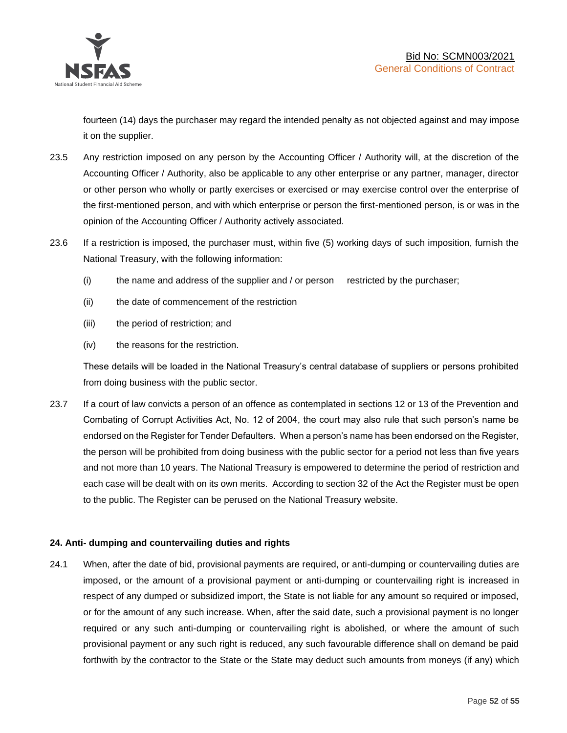

fourteen (14) days the purchaser may regard the intended penalty as not objected against and may impose it on the supplier.

- 23.5 Any restriction imposed on any person by the Accounting Officer / Authority will, at the discretion of the Accounting Officer / Authority, also be applicable to any other enterprise or any partner, manager, director or other person who wholly or partly exercises or exercised or may exercise control over the enterprise of the first-mentioned person, and with which enterprise or person the first-mentioned person, is or was in the opinion of the Accounting Officer / Authority actively associated.
- 23.6 If a restriction is imposed, the purchaser must, within five (5) working days of such imposition, furnish the National Treasury, with the following information:
	- (i) the name and address of the supplier and / or person restricted by the purchaser;
	- (ii) the date of commencement of the restriction
	- (iii) the period of restriction; and
	- (iv) the reasons for the restriction.

These details will be loaded in the National Treasury's central database of suppliers or persons prohibited from doing business with the public sector.

23.7 If a court of law convicts a person of an offence as contemplated in sections 12 or 13 of the Prevention and Combating of Corrupt Activities Act, No. 12 of 2004, the court may also rule that such person's name be endorsed on the Register for Tender Defaulters. When a person's name has been endorsed on the Register, the person will be prohibited from doing business with the public sector for a period not less than five years and not more than 10 years. The National Treasury is empowered to determine the period of restriction and each case will be dealt with on its own merits. According to section 32 of the Act the Register must be open to the public. The Register can be perused on the National Treasury website.

### **24. Anti- dumping and countervailing duties and rights**

24.1 When, after the date of bid, provisional payments are required, or anti-dumping or countervailing duties are imposed, or the amount of a provisional payment or anti-dumping or countervailing right is increased in respect of any dumped or subsidized import, the State is not liable for any amount so required or imposed, or for the amount of any such increase. When, after the said date, such a provisional payment is no longer required or any such anti-dumping or countervailing right is abolished, or where the amount of such provisional payment or any such right is reduced, any such favourable difference shall on demand be paid forthwith by the contractor to the State or the State may deduct such amounts from moneys (if any) which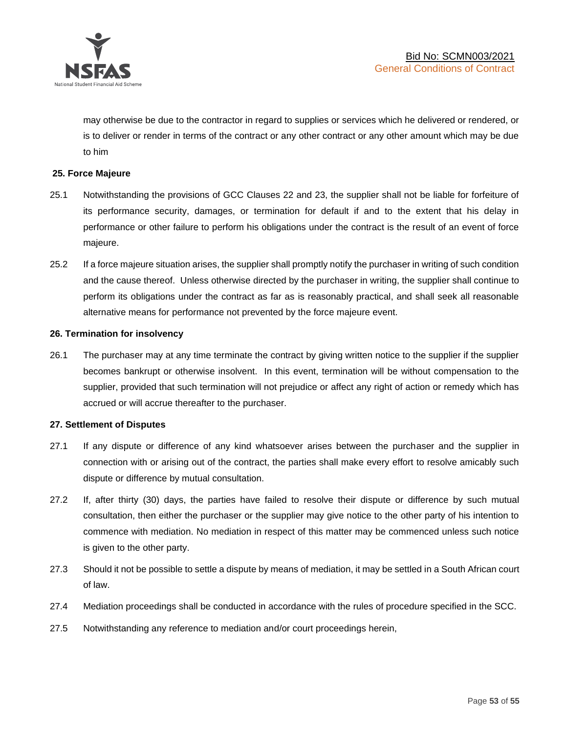

may otherwise be due to the contractor in regard to supplies or services which he delivered or rendered, or is to deliver or render in terms of the contract or any other contract or any other amount which may be due to him

### **25. Force Majeure**

- 25.1 Notwithstanding the provisions of GCC Clauses 22 and 23, the supplier shall not be liable for forfeiture of its performance security, damages, or termination for default if and to the extent that his delay in performance or other failure to perform his obligations under the contract is the result of an event of force majeure.
- 25.2 If a force majeure situation arises, the supplier shall promptly notify the purchaser in writing of such condition and the cause thereof. Unless otherwise directed by the purchaser in writing, the supplier shall continue to perform its obligations under the contract as far as is reasonably practical, and shall seek all reasonable alternative means for performance not prevented by the force majeure event.

#### **26. Termination for insolvency**

26.1 The purchaser may at any time terminate the contract by giving written notice to the supplier if the supplier becomes bankrupt or otherwise insolvent. In this event, termination will be without compensation to the supplier, provided that such termination will not prejudice or affect any right of action or remedy which has accrued or will accrue thereafter to the purchaser.

#### **27. Settlement of Disputes**

- 27.1 If any dispute or difference of any kind whatsoever arises between the purchaser and the supplier in connection with or arising out of the contract, the parties shall make every effort to resolve amicably such dispute or difference by mutual consultation.
- 27.2 If, after thirty (30) days, the parties have failed to resolve their dispute or difference by such mutual consultation, then either the purchaser or the supplier may give notice to the other party of his intention to commence with mediation. No mediation in respect of this matter may be commenced unless such notice is given to the other party.
- 27.3 Should it not be possible to settle a dispute by means of mediation, it may be settled in a South African court of law.
- 27.4 Mediation proceedings shall be conducted in accordance with the rules of procedure specified in the SCC.
- 27.5 Notwithstanding any reference to mediation and/or court proceedings herein,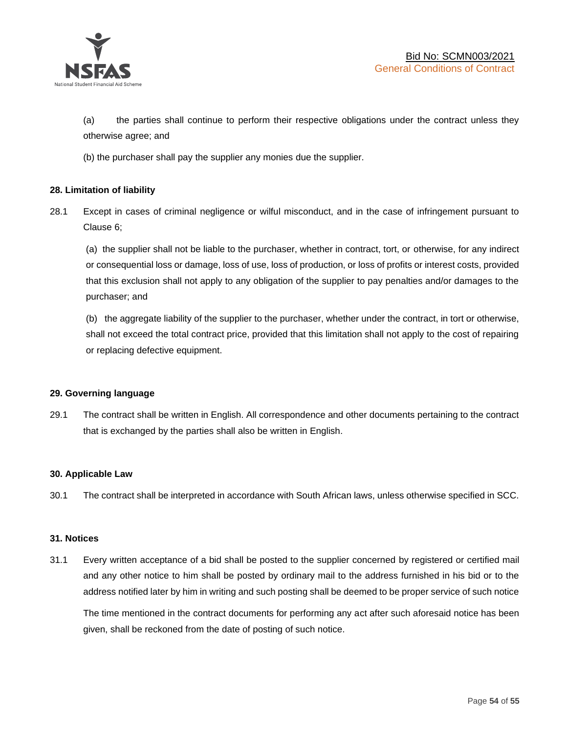

(a) the parties shall continue to perform their respective obligations under the contract unless they otherwise agree; and

(b) the purchaser shall pay the supplier any monies due the supplier.

### **28. Limitation of liability**

28.1 Except in cases of criminal negligence or wilful misconduct, and in the case of infringement pursuant to Clause 6;

(a) the supplier shall not be liable to the purchaser, whether in contract, tort, or otherwise, for any indirect or consequential loss or damage, loss of use, loss of production, or loss of profits or interest costs, provided that this exclusion shall not apply to any obligation of the supplier to pay penalties and/or damages to the purchaser; and

(b) the aggregate liability of the supplier to the purchaser, whether under the contract, in tort or otherwise, shall not exceed the total contract price, provided that this limitation shall not apply to the cost of repairing or replacing defective equipment.

### **29. Governing language**

29.1 The contract shall be written in English. All correspondence and other documents pertaining to the contract that is exchanged by the parties shall also be written in English.

### **30. Applicable Law**

30.1 The contract shall be interpreted in accordance with South African laws, unless otherwise specified in SCC.

### **31. Notices**

31.1 Every written acceptance of a bid shall be posted to the supplier concerned by registered or certified mail and any other notice to him shall be posted by ordinary mail to the address furnished in his bid or to the address notified later by him in writing and such posting shall be deemed to be proper service of such notice

The time mentioned in the contract documents for performing any act after such aforesaid notice has been given, shall be reckoned from the date of posting of such notice.